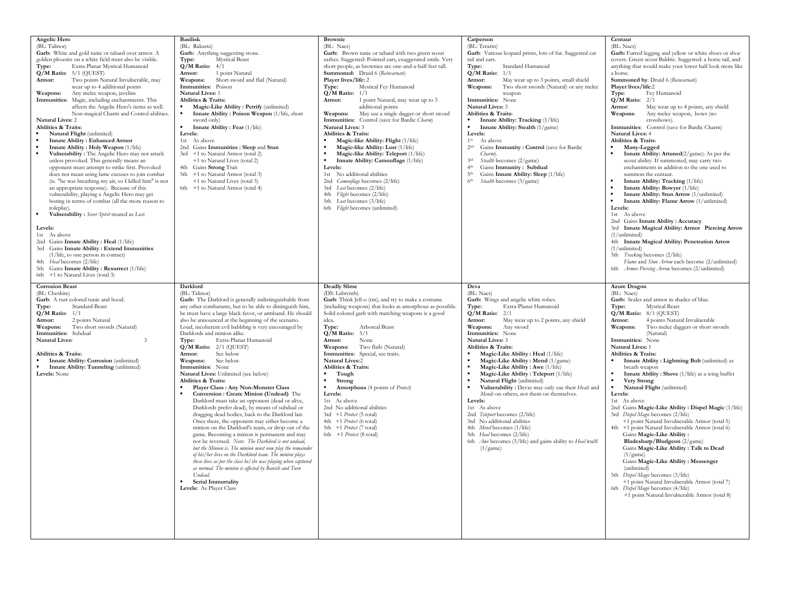| Angelic Hero<br>(BL: Talinor)<br>Garb: White and gold tunic or tabard over armor. A<br>golden phoenix on a white field must also be visible.<br>Extra-Planar Mystical Humanoid<br>Type:<br>$Q/M$ Ratio: $5/1$ (QUEST)<br>Two points Natural Invulnerable, may<br>Armor:<br>wear up to 4 additional points<br>Any melee weapon, javelins<br>Weapons:<br>Immunities: Magic, including enchantments. This<br>affects the Angelic Hero's items as well.<br>Non-magical Charm and Control abilities.<br><b>Natural Lives: 2</b><br>Abilities & Traits:<br>Natural Flight (unlimited)<br><b>Innate Ability: Enhanced Armor</b><br>Innate Ability: Holy Weapon (1/life)<br>Vulnerability: The Angelic Hero may not attack<br>unless provoked. This generally means an<br>opponent must attempt to strike first. Provoked<br>does not mean using lame excuses to join combat<br>(ie. "he was breathing my air, so I killed him" is not<br>an appropriate response). Because of this<br>vulnerability, playing a Angelic Hero may get<br>boring in terms of combat (all the more reason to<br>roleplay).<br>Vulnerability : Sever Spirit treated as Lost.<br>Levels:<br>1st As above<br>2nd Gains Innate Ability: Heal (1/life)<br>3rd Gains Innate Ability: Extend Immunities<br>$(1/l$ ife, to one person in contact)<br>4th Heal becomes (2/life)<br>5th Gains Innate Ability: Resurrect (1/life)<br>6th +1 to Natural Lives (total 3) | <b>Basilisk</b><br>(BL: Rakasta)<br>Garb: Anything suggesting stone.<br><b>Mystical Beast</b><br>Type:<br>$Q/M$ Ratio: $4/1$<br>1 point Natural<br>Armor:<br>Weapons:<br>Short sword and flail (Natural)<br>Immunities: Poison<br><b>Natural Lives: 1</b><br>Abilities & Traits:<br>Magic-Like Ability: Petrify (unlimited)<br>Innate Ability: Poison Weapon (1/life, short<br>sword only)<br>$\blacksquare$<br>Innate Ability: Fear (1/life)<br>Levels:<br>1st As above<br>2nd Gains Immunities : Sleep and Stun<br>3rd +1 to Natural Armor (total 2)<br>+1 to Natural Lives (total 2)<br>4th Gains Strong Trait<br>5th +1 to Natural Armor (total 3)<br>+1 to Natural Lives (total 3)<br>6th +1 to Natural Armor (total 4)                                                                                                                                                                                                                                                                                                                                                                                                                                                                                                                                                                                                           | <b>Brownie</b><br>(BL: Naes)<br>Garb: Brown tunic or tabard with two green scout<br>sashes. Suggested: Pointed ears, exaggerated smile. Very<br>short people, as brownies are one-and-a-half feet tall.<br>Summoned: Druid 6 (Reincarnate)<br>Player lives/life: 2<br>Type:<br>Mystical Fey Humanoid<br>$Q/M$ Ratio: $1/1$<br>1 point Natural, may wear up to 3<br>Armor:<br>additional points<br>Weapons:<br>May use a single dagger or short sword<br>Immunities: Control (save for Bardic Charm)<br><b>Natural Lives: 3</b><br><b>Abilities &amp; Traits:</b><br>Magic-like Ability: Flight (1/life)<br>Magic-like Ability: Lost (1/life)<br>Magic-like Ability: Teleport (1/life)<br>Innate Ability: Camouflage (1/life)<br>Levels:<br>1st No additional abilities<br>Camouflage becomes (2/life)<br>2nd<br>3rd Lost becomes (2/life)<br>4th Flight becomes (2/life)<br>5th Lost becomes (3/life)<br>6th Flight becomes (unlimited) | Catperson<br>(BL: Terarin)<br>Garb: Various leopard prints, lots of fur. Suggested cat<br>tail and ears.<br>Type:<br>Standard Humanoid<br>$Q/M$ Ratio: $1/1$<br>May wear up to 3 points, small shield<br>Armor:<br>Two short swords (Natural) or any melee<br>Weapons:<br>weapon<br>Immunities: None<br><b>Natural Lives: 3</b><br>Abilities & Traits:<br>Innate Ability: Tracking (1/life)<br>Innate Ability: Stealth (1/game)<br>Levels:<br>1 <sup>st</sup><br>As above<br>2 <sup>nd</sup><br>Gains Immunity : Control (save for Bardic<br>Charm)<br>3rd<br>Stealth becomes (2/game)<br>Gains Immunity: Subdual<br>4 <sub>th</sub><br>Gains Innate Ability: Sleep (1/life)<br>5 <sup>th</sup><br>6 <sup>th</sup><br>Stealth becomes (3/game)                                                         | Centaur<br>(BL: Naes)<br>Garb: Furred legging and yellow or white shoes or shoe<br>covers. Green scout Baldric. Suggested: a horse tail, and<br>anything that would make your lower half look more like<br>a horse.<br>Summoned by: Druid 6 (Reincarnate)<br>Player lives/life:2<br>Type:<br>Fey Humanoid<br>$Q/M$ Ratio: $2/1$<br>May wear up to 4 points, any shield<br>Armor:<br>Any melee weapon, bows (no<br>Weapons:<br>crossbows).<br>Immunities: Control (save for Bardic Charm)<br><b>Natural Lives: 4</b><br>Abilities & Traits:<br>Many-Legged<br>Innate Ability: Attuned(2/game): As per the<br>scout ability. If summoned, may carry two<br>enchantments in addition to the one used to<br>summon the centaur.<br>Innate Ability: Tracking (1/life)<br>Innate Ability: Bowyer (1/life)<br>Innate Ability: Stun Arrow (1/unlimited)<br>Innate Ability: Flame Arrow (1/unlimited)<br>Levels:<br>1st As above<br>2nd Gains Innate Ability : Accuracy<br>3rd Innate Magical Ability: Armor Piercing Arrow<br>(1/unlimited)<br>4th Innate Magical Ability: Penetration Arrow<br>(1/unlimited)<br>5th Tracking becomes (2/life)<br>Flame and Stun Arrow each become (2/unlimited)<br>6th Armor Piercing Arrow becomes (2/unlimited) |
|----------------------------------------------------------------------------------------------------------------------------------------------------------------------------------------------------------------------------------------------------------------------------------------------------------------------------------------------------------------------------------------------------------------------------------------------------------------------------------------------------------------------------------------------------------------------------------------------------------------------------------------------------------------------------------------------------------------------------------------------------------------------------------------------------------------------------------------------------------------------------------------------------------------------------------------------------------------------------------------------------------------------------------------------------------------------------------------------------------------------------------------------------------------------------------------------------------------------------------------------------------------------------------------------------------------------------------------------------------------------------------------------------------------------------------|----------------------------------------------------------------------------------------------------------------------------------------------------------------------------------------------------------------------------------------------------------------------------------------------------------------------------------------------------------------------------------------------------------------------------------------------------------------------------------------------------------------------------------------------------------------------------------------------------------------------------------------------------------------------------------------------------------------------------------------------------------------------------------------------------------------------------------------------------------------------------------------------------------------------------------------------------------------------------------------------------------------------------------------------------------------------------------------------------------------------------------------------------------------------------------------------------------------------------------------------------------------------------------------------------------------------------------------|-----------------------------------------------------------------------------------------------------------------------------------------------------------------------------------------------------------------------------------------------------------------------------------------------------------------------------------------------------------------------------------------------------------------------------------------------------------------------------------------------------------------------------------------------------------------------------------------------------------------------------------------------------------------------------------------------------------------------------------------------------------------------------------------------------------------------------------------------------------------------------------------------------------------------------------------|--------------------------------------------------------------------------------------------------------------------------------------------------------------------------------------------------------------------------------------------------------------------------------------------------------------------------------------------------------------------------------------------------------------------------------------------------------------------------------------------------------------------------------------------------------------------------------------------------------------------------------------------------------------------------------------------------------------------------------------------------------------------------------------------------------|--------------------------------------------------------------------------------------------------------------------------------------------------------------------------------------------------------------------------------------------------------------------------------------------------------------------------------------------------------------------------------------------------------------------------------------------------------------------------------------------------------------------------------------------------------------------------------------------------------------------------------------------------------------------------------------------------------------------------------------------------------------------------------------------------------------------------------------------------------------------------------------------------------------------------------------------------------------------------------------------------------------------------------------------------------------------------------------------------------------------------------------------------------------------------------------------------------------------------------------------|
| <b>Corrosion Beast</b><br>(BL: Cheshire)<br>Garb: A rust colored tunic and hood.<br><b>Standard Beast</b><br>Type:<br>$Q/M$ Ratio: $1/1$<br>2 points Natural<br>Armor:<br>Two short swords (Natural)<br>Weapons:<br>Immunities: Subdual<br><b>Natural Lives:</b><br>$\mathcal{F}$<br>Abilities & Traits:<br>Innate Ability: Corrosion (unlimited)<br>Innate Ability: Tunneling (unlimited)<br>Levels: None                                                                                                                                                                                                                                                                                                                                                                                                                                                                                                                                                                                                                                                                                                                                                                                                                                                                                                                                                                                                                       | Darklord<br>(BL: Talinor)<br>Garb: The Darklord is generally indistinguishable from<br>any other combatants, but to be able to distinguish him,<br>he must have a large black favor, or armband. He should<br>also be announced at the beginning of the scenario.<br>Loud, incoherent evil babbling is very encouraged by<br>Darklords and minion alike.<br>Extra-Planar Humanoid<br>Type:<br>$Q/M$ Ratio: $2/1$ (OUEST)<br>Armor:<br>See below<br>See below<br>Weapons:<br>Immunities: None<br>Natural Lives: Unlimited (see below)<br>Abilities & Traits:<br>Player Class : Any Non-Monster Class<br>Conversion : Create Minion (Undead) The<br>Darklord must take an opponent (dead or alive,<br>Darklords prefer dead), by means of subdual or<br>dragging dead bodies, back to the Darklord lair.<br>Once there, the opponent may either become a<br>minion on the Darklord's team, or drop out of the<br>game. Becoming a minion is permanent and may<br>not be reversed. Note: The Darklord is not undead.<br>but the Minion is. The minion must now play the remainder<br>of his/her lives on the Darklord team. The minion plays<br>these lives as per the class he/ she was playing when captured<br>as normal. The minion is affected by Banish and Turn<br>Undead,<br><b>Serial Immortality</b><br>Levels: As Player Class | <b>Deadly Slime</b><br>(DS: Labrynth)<br>Garb: Think Jell-o (tm), and try to make a costume<br>(including weapons) that looks as amorphous as possible.<br>Solid colored garb with matching weapons is a good<br>idea.<br>Type:<br>Arboreal Beast<br>$Q/M$ Ratio: $5/1$<br>Armor:<br>None<br>Two flails (Natural)<br>Weapons:<br>Immunities: Special, see traits.<br>Natural Lives:2<br>Abilities & Traits:<br>Tough<br>Strong<br>Amorphous (4 points of Protect)<br>Levels:<br>1st As above<br>2nd No additional abilities<br>3rd +1 Protect (5 total)<br>4th +1 Protect (6 total)<br>5th +1 Protect (7 total)<br>6th +1 Protect (8 total)                                                                                                                                                                                                                                                                                             | Deva<br>(BL: Naes)<br>Garb: Wings and angelic white robes.<br>Extra-Planar Humanoid<br>Type:<br>$Q/M$ Ratio: $2/1$<br>May wear up to 2 points, any shield<br>Armor:<br>Weapons:<br>Any sword<br>Immunities: None<br><b>Natural Lives: 3</b><br>Abilities & Traits:<br>Magic-Like Ability : Heal (1/life)<br>Magic-Like Ability: Mend (1/game)<br>Magic-Like Ability: Awe (1/life)<br>Magic-Like Ability: Teleport (1/life)<br>Natural Flight (unlimited)<br>Vulnerability : Devas may only use their Heals and<br>Mends on others, not them on themselves.<br>Levels:<br>1st As above<br>2nd Teleport becomes (2/life)<br>3rd No additional abilities<br>4th Mend becomes (1/life)<br>5th Heal becomes (2/life)<br>6th <i>Awe</i> becomes (3/life) and gains ability to <i>Heal</i> itself<br>(1/game) | <b>Azure Dragon</b><br>(BL: Naes)<br>Garb: Scales and armor in shades of blue.<br><b>Mystical Beast</b><br>Type:<br>Q/M Ratio: 8/1 (QUEST)<br>4 points Natural Invulnerable<br>Armor:<br>Weapons:<br>Two melee daggers or short swords<br>(Natural)<br>Immunities: None<br><b>Natural Lives: 1</b><br><b>Abilities &amp; Traits:</b><br>Innate Ability: Lightning Bolt (unlimited) as<br>breath weapon<br>Innate Ability: Shove (1/life) as a wing buffet<br><b>Very Strong</b><br>Natural Flight (unlimited)<br>Levels:<br>1st As above<br>2nd Gains Magic-Like Ability: Dispel Magic (1/life)<br>3rd Dispel Magic becomes (2/life)<br>+1 point Natural Invulnerable Armor (total 5)<br>4th +1 point Natural Invulnerable Armor (total 6)<br>Gains Magic-Like Ability:<br>Bladesharp/Bludgeon (2/game)<br>Gains Magic-Like Ability: Talk to Dead<br>(1/game)<br>Gains Magic-Like Ability: Messenger<br>(unlimited)<br>5th Dispel Magic becomes (3/life)<br>+1 point Natural Invulnerable Armor (total 7)<br>6th Dispel Magic becomes (4/life)<br>+1 point Natural Invulnerable Armor (total 8)                                                                                                                                            |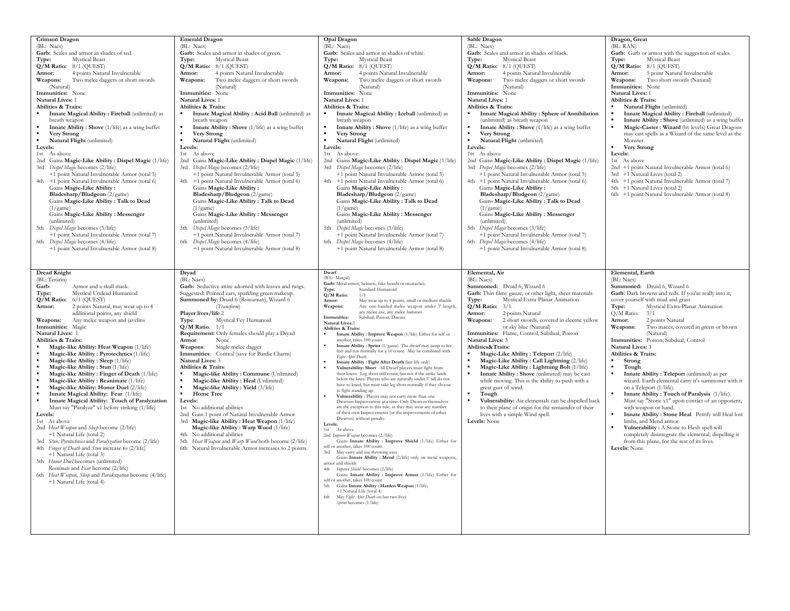| Crimson Dragon<br>(BL: Naes)<br>Garb: Scales and armor in shades of red.<br>Type:<br><b>Mystical Beast</b><br>Q/M Ratio: 8/1 (QUEST)<br>4 points Natural Invulnerable<br>Armor:<br>Weapons:<br>Two melee daggers or short swords<br>(Natural)<br>Immunities: None<br>Natural Lives: 1<br>Abilities & Traits:<br>Innate Magical Ability: Fireball (unlimited) as<br>breath weapon<br>Innate Ability: Shove (1/life) as a wing buffet<br><b>Very Strong</b><br>Natural Flight (unlimited)<br>Levels:<br>1st As above<br>2nd Gains Magic-Like Ability : Dispel Magic (1/life)<br>3rd Dispel Magic becomes (2/life)<br>+1 point Natural Invulnerable Armor (total 5)<br>4th +1 point Natural Invulnerable Armor (total 6)<br>Gains Magic-Like Ability:<br>Bladesharp/Bludgeon (2/game)<br>Gains Magic-Like Ability: Talk to Dead<br>(1/game)<br>Gains Magic-Like Ability: Messenger<br>(unlimited)<br>5th<br>Dispel Magic becomes (3/life)<br>+1 point Natural Invulnerable Armor (total 7)<br>6th Dispel Magic becomes (4/life)<br>+1 point Natural Invulnerable Armor (total 8)                                                                                                                                   | <b>Emerald Dragon</b><br>(BL: Naes)<br>Garb: Scales and armor in shades of green.<br><b>Mystical Beast</b><br>Type:<br>Q/M Ratio: 8/1 (QUEST)<br>4 points Natural Invulnerable<br>Armor:<br>Two melee daggers or short swords<br>Weapons:<br>(Natural)<br>Immunities: None<br>Natural Lives: 1<br>Abilities & Traits:<br>Innate Magical Ability: Acid Ball (unlimited) as<br>breath weapon<br>Innate Ability: Shove (1/life) as a wing buffet<br><b>Very Strong</b><br>Natural Flight (unlimited)<br>Levels:<br>1st As above<br>2nd Gains Magic-Like Ability : Dispel Magic (1/life)<br>Dispel Magic becomes (2/life)<br>3rd<br>+1 point Natural Invulnerable Armor (total 5)<br>+1 point Natural Invulnerable Armor (total 6)<br>4th<br>Gains Magic-Like Ability:<br>Bladesharp/Bludgeon (2/game)<br>Gains Magic-Like Ability: Talk to Dead<br>(1/game)<br>Gains Magic-Like Ability: Messenger<br>(unlimited)<br>Dispel Magic becomes (3/life)<br>5th<br>+1 point Natural Invulnerable Armor (total 7)<br>Dispel Magic becomes (4/life)<br>6th<br>+1 point Natural Invulnerable Armor (total 8) | Opal Dragon<br>(BL: Naes)<br>Garb: Scales and armor in shades of white.<br><b>Mystical Beast</b><br>Type:<br>Q/M Ratio: 8/1 (QUEST)<br>4 points Natural Invulnerable<br>Armor:<br>Two melee daggers or short swords<br>Weapons:<br>(Natural)<br>Immunities: None<br>Natural Lives: 1<br>Abilities & Traits:<br>Innate Magical Ability : Iceball (unlimited) as<br>breath weapon<br>Innate Ability: Shove (1/life) as a wing buffet<br><b>Very Strong</b><br>$\blacksquare$<br>Natural Flight (unlimited)<br>Levels:<br>1st As above<br>2nd Gains Magic-Like Ability : Dispel Magic (1/life)<br>Dispel Magic becomes (2/life)<br>3rd<br>+1 point Natural Invulnerable Armor (total 5)<br>+1 point Natural Invulnerable Armor (total 6)<br>4th<br>Gains Magic-Like Ability:<br>Bladesharp/Bludgeon (2/game)<br>Gains Magic-Like Ability: Talk to Dead<br>(1/game)<br>Gains Magic-Like Ability : Messenger<br>(unlimited)<br>Dispel Magic becomes (3/life)<br>5th<br>+1 point Natural Invulnerable Armor (total 7)<br>Dispel Magic becomes (4/life)<br>6th<br>+1 point Natural Invulnerable Armor (total 8)                                                                                                                                                                                                                                                                                                                                                                                                                                                                                                                                                                                                                                                                                                                                                                 | Sable Dragon<br>(BL: Naes)<br>Garb: Scales and armor in shades of black.<br><b>Mystical Beast</b><br>Type:<br>$Q/M$ Ratio: $8/1$ (QUEST)<br>4 points Natural Invulnerable<br>Armor:<br>Two melee daggers or short swords<br>Weapons:<br>(Natural)<br>Immunities: None<br><b>Natural Lives: 1</b><br>Abilities & Traits:<br>Innate Magical Ability: Sphere of Annihilation<br>(unlimited) as breath weapon<br>Innate Ability: Shove (1/life) as a wing buffet<br>Very Strong<br>Natural Flight (unlimited)<br>Levels:<br>1st As above<br>2nd Gains Magic-Like Ability : Dispel Magic (1/life)<br>3rd Dispel Magic becomes (2/life)<br>+1 point Natural Invulnerable Armor (total 5)<br>4th +1 point Natural Invulnerable Armor (total 6)<br>Gains Magic-Like Ability:<br>Bladesharp/Bludgeon (2/game)<br>Gains Magic-Like Ability: Talk to Dead<br>(1/game)<br>Gains Magic-Like Ability: Messenger<br>(unlimited)<br>5th Dispel Magic becomes (3/life)<br>+1 point Natural Invulnerable Armor (total 7)<br>6th Dispel Magic becomes (4/life)<br>+1 point Natural Invulnerable Armor (total 8) | Dragon, Great<br>(BL: RAN)<br>Garb: Garb or armor with the suggestion of scales.<br><b>Mystical Beast</b><br>Type:<br>$Q/M$ Ratio: $8/1$ (QUEST)<br>5 point Natural Invulnerable<br>Armor:<br>Two short swords (Natural)<br>Weapons:<br>Immunities: None<br><b>Natural Lives: 1</b><br>Abilities & Traits:<br>Natural Flight (unlimited)<br>Innate Magical Ability: Fireball (unlimited)<br>Innate Ability: Shove (unlimited) as a wing buffet<br>Magic-Caster: Wizard (by levels) Great Dragons<br>may cast spells as a Wizard of the same level as the<br>Monster.<br>Very Strong<br>Levels:<br>1st As above<br>2nd +1 point Natural Invulnerable Armor (total 6)<br>3rd +1 Natural Lives (total 2)<br>4th +1 point Natural Invulnerable Armor (total 7)<br>5th +1 Natural Lives (total 2)<br>6th +1 point Natural Invulnerable Armor (total 8)                                                                                                          |
|-----------------------------------------------------------------------------------------------------------------------------------------------------------------------------------------------------------------------------------------------------------------------------------------------------------------------------------------------------------------------------------------------------------------------------------------------------------------------------------------------------------------------------------------------------------------------------------------------------------------------------------------------------------------------------------------------------------------------------------------------------------------------------------------------------------------------------------------------------------------------------------------------------------------------------------------------------------------------------------------------------------------------------------------------------------------------------------------------------------------------------------------------------------------------------------------------------------------|--------------------------------------------------------------------------------------------------------------------------------------------------------------------------------------------------------------------------------------------------------------------------------------------------------------------------------------------------------------------------------------------------------------------------------------------------------------------------------------------------------------------------------------------------------------------------------------------------------------------------------------------------------------------------------------------------------------------------------------------------------------------------------------------------------------------------------------------------------------------------------------------------------------------------------------------------------------------------------------------------------------------------------------------------------------------------------------------------|--------------------------------------------------------------------------------------------------------------------------------------------------------------------------------------------------------------------------------------------------------------------------------------------------------------------------------------------------------------------------------------------------------------------------------------------------------------------------------------------------------------------------------------------------------------------------------------------------------------------------------------------------------------------------------------------------------------------------------------------------------------------------------------------------------------------------------------------------------------------------------------------------------------------------------------------------------------------------------------------------------------------------------------------------------------------------------------------------------------------------------------------------------------------------------------------------------------------------------------------------------------------------------------------------------------------------------------------------------------------------------------------------------------------------------------------------------------------------------------------------------------------------------------------------------------------------------------------------------------------------------------------------------------------------------------------------------------------------------------------------------------------------------------------------------------------------------------------------------------------------|----------------------------------------------------------------------------------------------------------------------------------------------------------------------------------------------------------------------------------------------------------------------------------------------------------------------------------------------------------------------------------------------------------------------------------------------------------------------------------------------------------------------------------------------------------------------------------------------------------------------------------------------------------------------------------------------------------------------------------------------------------------------------------------------------------------------------------------------------------------------------------------------------------------------------------------------------------------------------------------------------------------------------------------------------------------------------------------------|------------------------------------------------------------------------------------------------------------------------------------------------------------------------------------------------------------------------------------------------------------------------------------------------------------------------------------------------------------------------------------------------------------------------------------------------------------------------------------------------------------------------------------------------------------------------------------------------------------------------------------------------------------------------------------------------------------------------------------------------------------------------------------------------------------------------------------------------------------------------------------------------------------------------------------------------------------|
| Dread Knight<br>(BL: Terarin)<br>Armor and a skull mask.<br>Garb:<br>Type:<br>Mystical Undead Humaniod<br>$Q/M$ Ratio: $6/1$ (QUEST)<br>Armor:<br>2 points Natural, may wear up to 4<br>additional points, any shield<br>Any melee weapon and javelins<br>Weapons:<br>Immunities: Magic<br>Natural Lives: 1<br>Abilities & Traits:<br>Magic-like Ability: Heat Weapon (1/life)<br>Magic-like Ability: Pyrotechnics (1/life)<br>Magic-like Ability : Sleep (1/life)<br>Magic-like Ability: Stun (1/life)<br>Magic-like Ability: Finger of Death (1/life)<br>Magic-like Ability: Reanimate (1/life)<br>Magic-like Ability: Honor Duel (2/life)<br>Innate Magical Ability: Fear (1/life)<br>Innate Magical Ability: Touch of Paralyzation<br>Must say "Paralyze" x1 before striking (1/life)<br>Levels:<br>1st As above<br>2nd Heat Weapon and Sleep become (2/life)<br>+1 Natural Life (total 2)<br>3rd Stun, Pyrotechnics and Paralyzation become (2/life)<br>4th Finger of Death and Stun increase to (2/life)<br>+1 Natural Life (total 3)<br>5th Honor Duel becomes (unlimited)<br>Reanimate and Fear become (2/life)<br>6th Heat Weapon, Sleep and Parakyzation become (4/life)<br>+1 Natural Life (total 4) | Dryad<br>(BL: Naes)<br>Garb: Seductive attire adorned with leaves and twigs.<br>Suggested: Pointed ears, sparkling green makeup.<br>Summoned by: Druid 6 (Reincarnate), Wizard 6<br>(Transform)<br>Player lives/life:2<br>Mystical Fey Humanoid<br>Type:<br>$Q/M$ Ratio: $1/1$<br>Requirement: Only females should play a Dryad<br>Armor:<br>None<br>Single melee dagger<br>Weapons:<br>Immunities: Control (save for Bardic Charm)<br><b>Natural Lives: 3</b><br>Abilities & Traits:<br>Magic-like Ability: Commune (Unlimited)<br>Magic-like Ability: Heal (Unlimited)<br>Magic-like Ability: Yield (3/life)<br>$\blacksquare$<br>Home Tree<br>Levels:<br>1st No additional abilities<br>2nd Gain 1 point of Natural Invulnerable Armor<br>3rd Magic-like Ability: Heat Weapon (1/life)<br>Magic-like Ability: Warp Wood (1/life)<br>No additional abilities<br>4th<br>5th Heat Weapon and Warp Wood both become (2/life)<br>6th Natural Invulnerable Armor increases to 2 points.                                                                                                             | Dwarf<br>(WL: Margul)<br>Garb: Metal armor, helmets, fake beards or mustaches.<br>Standard Humanoid<br>Type:<br>Q/M Ratio:<br>1/1<br>May wear up to 4 points, small or medium shields<br>Armor:<br>Any one-handed melee weapon under 3' length,<br>Weapons:<br>any melee axe, any melee hammer<br>Subdual Poison Disease<br>Immunities:<br>Natural Lives:3<br><b>Abilities &amp; Traits:</b><br>Innate Ability : Improve Weapon (1/life) Either for self or<br>another, takes 100 count.<br>Innate Ability: Sprint (1/game) The dwarf may jump to his<br>feet and run normally for a 10 count. May be combined with<br>Fight After Death.<br>Innate Ability : Fight After Death (last life only)<br>Vulnerability: Short All Dwarf players must fight from<br>their knees. Leg shots still count, but not if the strike lands<br>below the knee. Players who are naturally under 5' tall do not<br>have to kneel, but must take leg shots normally if they choose<br>to fight standing up.<br>Vulnerability: Players may not carry more than one<br>Dwarven Improvement at a time. Only Dwarves themselves<br>are the exception to this rule, as they may wear any number<br>of their own Improvements (or the improvements of other<br>Dwarves) without penalty<br>Levels:<br>1st As above<br>2nd Improve Weapon becomes (2./life)<br>Gains Innate Ability : Improve Shield (1/life) Either for<br>self or another, takes 100 count.<br>May carry and use throwing axes<br>3rd<br>Gains Innate Ability : Mend (2/life) only on metal weapons,<br>armor and shields<br>Improve Shield becomes (2/life)<br>4th<br>Gains Innate Ability : Improve Armor (1/life) Either for<br>self or another, takes 100 count<br>Gains Innate Ability : Harden Weapon (1/life)<br>+1 Natural Life (total 4)<br>6th<br>May Fight After Death on last two lives<br>Sprint becomes (1/life) | Elemental, Air<br>(BL: Naes)<br>Summoned: Druid 6, Wizard 6<br>Garb: Thin filmy gauze, or other light, sheer materials<br>Mystical Extra-Planar Animation<br>Type:<br>$Q/M$ Ratio: $3/1$<br>Armor:<br>2 points Natural<br>Weapons:<br>2 short swords, covered in electric yellow<br>or sky blue (Natural)<br>Immunities: Flame, Control, Subdual, Poison<br><b>Natural Lives: 3</b><br>Abilities&Traits:<br>Magic-Like Ability: Teleport (2/life)<br>Magic-Like Ability: Call Lightning (2/life)<br>Magic-Like Ability: Lightning Bolt (1/life)<br>Innate Ability: Shove (unlimited) may be cast<br>while moving. This is the ability to push with a<br>great gust of wind.<br>Tough<br>Vulnerability: Air elementals can be dispelled back<br>to their plane of origin for the remainder of their<br>lives with a simple Wind spell.<br>Levels: None                                                                                                                                                                                                                                        | Elemental, Earth<br>(BL: Naes)<br>Summoned: Druid 6, Wizard 6<br>Garb: Dark browns and reds. If you're really into it,<br>cover yourself with mud and grass<br>Mystical Extra-Planar Animation<br>Type:<br>O/M Ratio:<br>3/1<br>2 points Natural<br>Armor:<br>Weapons:<br>Two maces, covered in green or brown<br>(Natural)<br>Immunities: Poison, Subdual, Control<br><b>Natural Lives: 3</b><br>Abilities & Traits:<br>Strong<br>Tough<br>Innate Ability: Teleport (unlimited) as per<br>wizard. Earth elemental carry it's summoner with it<br>on a Teleport (1/life).<br>Innate Ability: Touch of Paralysis (1/life).<br>Must say "Stone x1" upon contact of an opponent,<br>with weapon or hand.<br>Innate Ability : Stone Heal Petrify will Heal lost<br>limbs, and Mend armor.<br>Vulnerability: A Stone to Flesh spell will<br>completely disintegrate the elemental, dispelling it<br>from this plane, for the rest of its lives.<br>Levels: None |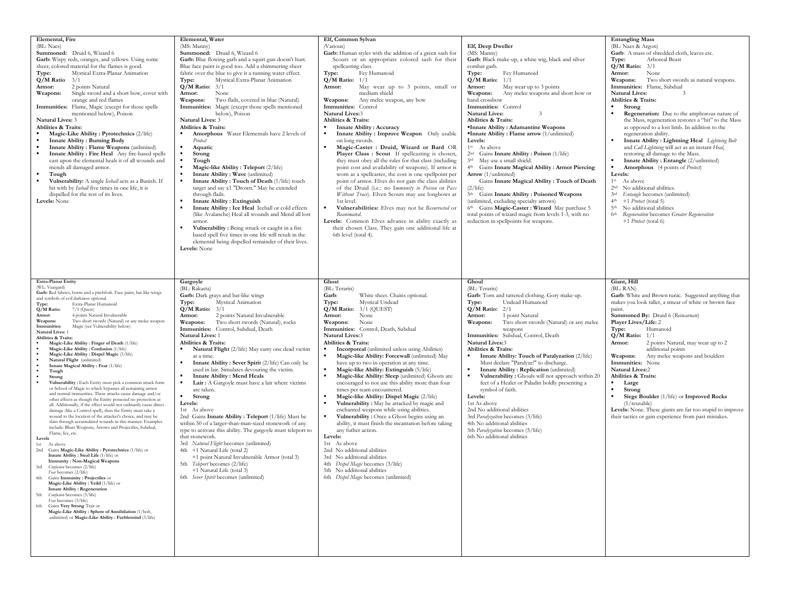| Elemental, Fire<br>(BL: Naes)<br>Summoned: Druid 6, Wizard 6<br>Garb: Wispy reds, oranges, and yellows. Using some<br>sheer, colored material for the flames is good.<br>Mystical Extra-Planar Animation<br>Type:<br>Q/M Ratio<br>3/1<br>2 points Natural<br>Armor:<br>Single sword and a short bow, cover with<br>Weapons:<br>orange and red flames<br>Immunities: Flame, Magic (except for those spells<br>mentioned below), Poison<br><b>Natural Lives: 3</b><br>Abilities & Traits:<br>Magic-Like Ability: Pyrotechnics (2/life)<br><b>Innate Ability: Burning Body</b><br>Innate Ability: Flame Weapons (unlimited)<br>Innate Ability: Fire Heal Any fire-based spells<br>$\blacksquare$<br>cast upon the elemental heals it of all wounds and<br>mends all damaged armor.<br>Tough<br>Vulnerability: A single Iceball acts as a Banish. If<br>hit with by <i>Iceball</i> five times in one life, it is<br>dispelled for the rest of its lives.<br>Levels: None                                                                                                                                                                                                                                                                                                                                                                                                                                                                                                                                                                                                                                                                                                                                                                                                                                                                                            | Elemental, Water<br>(MS: Manny)<br>Summoned: Druid 6, Wizard 6<br>Garb: Blue flowing garb and a squirt gun doesn't hurt.<br>Blue face paint is good too. Add a shimmering sheer<br>fabric over the blue to give it a running water effect.<br>Type:<br>Mystical Extra-Planar Animation<br>$Q/M$ Ratio: $3/1$<br>None<br>Armor:<br>Weapons:<br>Two flails, covered in blue (Natural)<br>Immunities: Magic (except those spells mentioned<br>below), Poison<br><b>Natural Lives: 3</b><br>Abilities & Traits:<br><b>Amorphous</b> Water Elementals have 2 levels of<br>Protect<br>Aquatic<br>$\blacksquare$<br>Strong<br>$\blacksquare$<br>Tough<br>Magic-like Ability: Teleport (2/life)<br>Innate Ability : Wave (unlimited)<br>Innate Ability: Touch of Death (1/life) touch<br>target and say x1 "Drown." May be extended<br>through flails.<br><b>Innate Ability: Extinguish</b><br>$\blacksquare$<br>Innate Ability : Ice Heal Iceball or cold effects<br>(like Avalanche) Heal all wounds and Mend all lost<br>armor.<br>Vulnerability: Being struck or caught in a fire<br>based spell five times in one life will result in the<br>elemental being dispelled remainder of their lives.<br>Levels: None | Elf, Common Sylvan<br>(Various)<br>Garb: Human styles with the addition of a green sash for<br>Scouts or an appropriate colored sash for their<br>spellcasting class<br>Type:<br>Fey Humanoid<br>$Q/M$ Ratio: $1/1$<br>May wear up to 3 points, small or<br>Armor:<br>medium shield<br>Any melee weapon, any bow<br>Weapons:<br>Immunities: Control<br><b>Natural Lives:3</b><br>Abilities & Traits:<br><b>Innate Ability: Accuracy</b><br>Innate Ability : Improve Weapon Only usable<br>on long swords.<br>Magic-Caster : Druid, Wizard or Bard OR<br>Player Class : Scout If spellcasting is chosen,<br>they must obey all the rules for that class (including<br>point cost and availability of weapons). If armor is<br>worn as a spellcaster, the cost is one spellpoint per<br>point of armor. Elves do not gain the class abilities<br>of the Druid (i.e.: no Immunity to Poison or Pass<br>Without Trace). Elven Scouts may use longbows at<br>1st level.<br>$\blacksquare$<br>Vulnerabilities: Elves may not be Resurrected or<br>Reanimated<br>Levels: Common Elves advance in ability exactly as<br>their chosen Class. They gain one additional life at<br>6th level (total 4). | Elf, Deep Dweller<br>(MS: Manny)<br>Garb: Black make-up, a white wig, black and silver<br>combat garb.<br>Type:<br>Fey Humanoid<br>$Q/M$ Ratio: $1/1$<br>May wear up to 3 points<br>Armor:<br>Weapons:<br>Any melee weapons and short bow or<br>hand crossbow<br>Immunities: Control<br><b>Natural Lives:</b><br>Abilities & Traits:<br>"Innate Ability: Adamantine Weapons<br><b>Innate Ability: Flame arrow</b> $(1/unlimited)$<br>Levels:<br>1 <sup>st</sup> As above<br>2 <sup>nd</sup> Gains Innate Ability: Poison (1/life)<br>3rd<br>May use a small shield.<br>4th Gains Innate Magical Ability: Armor Piercing<br>Arrow (1/unlimited)<br>Gains Innate Magical Ability: Touch of Death<br>$(2/\text{life})$<br>5 <sup>th</sup> Gains Innate Ability: Poisoned Weapons<br>(unlimited, excluding specialty arrows)<br>6th Gains Magic-Caster: Wizard May purchase 5<br>total points of wizard magic from levels 1-3, with no<br>reduction in spellpoints for weapons. | <b>Entangling Mass</b><br>(BL: Naes & Argon)<br>Garb: A mass of shredded cloth, leaves etc.<br>Arboreal Beast<br>Type:<br>$Q/M$ Ratio: $3/1$<br>None<br>Armor:<br>Two short swords as natural weapons.<br>Weapons:<br>Immunities: Flame, Subdual<br><b>Natural Lives:</b><br>$\ddot{3}$<br>Abilities & Traits:<br>$\blacksquare$<br>Strong<br>$\blacksquare$<br>Regeneration: Due to the amphorous nature of<br>the Mass, regeneration restores a "hit" to the Mass<br>as opposed to a lost limb. In addition to the<br>regeneration ability.<br>Innate Ability : Lightning Heal Lightning Bolt<br>and Call Lightning will act as an instant Heal,<br>restoring all damage to the Mass.<br>Innate Ability: Entangle (2/unlimited)<br>Amorphous (4 points of Protect)<br>ж.<br>Levels:<br>1 <sup>st</sup><br>As above<br>No additional abilities.<br>2 <sup>nd</sup><br>Entangle becomes (unlimited)<br>3rd<br>$4th +1$ <i>Protect</i> (total 5)<br>No additional abilities<br>5 <sup>th</sup><br>Regeneration becomes Greater Regeneration<br>6 <sup>th</sup><br>+1 Protect (total 6) |
|-----------------------------------------------------------------------------------------------------------------------------------------------------------------------------------------------------------------------------------------------------------------------------------------------------------------------------------------------------------------------------------------------------------------------------------------------------------------------------------------------------------------------------------------------------------------------------------------------------------------------------------------------------------------------------------------------------------------------------------------------------------------------------------------------------------------------------------------------------------------------------------------------------------------------------------------------------------------------------------------------------------------------------------------------------------------------------------------------------------------------------------------------------------------------------------------------------------------------------------------------------------------------------------------------------------------------------------------------------------------------------------------------------------------------------------------------------------------------------------------------------------------------------------------------------------------------------------------------------------------------------------------------------------------------------------------------------------------------------------------------------------------------------------------------------------------------------------------------------------------|---------------------------------------------------------------------------------------------------------------------------------------------------------------------------------------------------------------------------------------------------------------------------------------------------------------------------------------------------------------------------------------------------------------------------------------------------------------------------------------------------------------------------------------------------------------------------------------------------------------------------------------------------------------------------------------------------------------------------------------------------------------------------------------------------------------------------------------------------------------------------------------------------------------------------------------------------------------------------------------------------------------------------------------------------------------------------------------------------------------------------------------------------------------------------------------------------------------|----------------------------------------------------------------------------------------------------------------------------------------------------------------------------------------------------------------------------------------------------------------------------------------------------------------------------------------------------------------------------------------------------------------------------------------------------------------------------------------------------------------------------------------------------------------------------------------------------------------------------------------------------------------------------------------------------------------------------------------------------------------------------------------------------------------------------------------------------------------------------------------------------------------------------------------------------------------------------------------------------------------------------------------------------------------------------------------------------------------------------------------------------------------------------------------------|-----------------------------------------------------------------------------------------------------------------------------------------------------------------------------------------------------------------------------------------------------------------------------------------------------------------------------------------------------------------------------------------------------------------------------------------------------------------------------------------------------------------------------------------------------------------------------------------------------------------------------------------------------------------------------------------------------------------------------------------------------------------------------------------------------------------------------------------------------------------------------------------------------------------------------------------------------------------------------|---------------------------------------------------------------------------------------------------------------------------------------------------------------------------------------------------------------------------------------------------------------------------------------------------------------------------------------------------------------------------------------------------------------------------------------------------------------------------------------------------------------------------------------------------------------------------------------------------------------------------------------------------------------------------------------------------------------------------------------------------------------------------------------------------------------------------------------------------------------------------------------------------------------------------------------------------------------------------------------------------------------------------------------------------------------------------------------|
| <b>Extra-Planar Entity</b><br>(WL: Vaargard)<br>Garb: Red fabrics, horns and a pitchfork. Face paint, bat-like wings<br>and symbols of evil darkness optional.<br>Extra-Planar Humanoid<br>Type:<br>Q/M Ratio:<br>$7/1$ (Quest)<br>4 points Natural Invulnerable<br>Armor:<br>Two short swords (Natural) or any melee weapon<br>Weapons:<br>Magic (see Vulnerability below)<br>Immunities:<br>Natural Lives: 1<br>Abilities & Traits:<br>Magic-Like Ability: Finger of Death (1/life)<br>Magic-Like Ability: Confusion (1/life)<br>Magic-Like Ability: Dispel Magic (3/life)<br>Natural Flight (unlimited)<br>Innate Magical Ability: Fear (1/life)<br>Tough<br>Strong<br>Vulnerability: Each Entity must pick a common attack form<br>or School of Magic to which bypasses all remaining armor<br>and normal immunities. These attacks cause damage and/or<br>other effects as though the Entity possesed no protection at<br>all. Additionally, if the effect would not ordinarily cause direct<br>damage (like a Control spell), then the Entity must take a<br>wound to the location of the attacker's choice, and may be<br>slain through accumulated wounds in this manner. Examples<br>include: Blunt Weapons, Arrows and Projectiles, Subdual,<br>Flame, Ice, etc.<br>Levels<br>1st<br>As above<br>2nd Gains Magic-Like Ability : Pyrotechnics (1/life) or<br>Innate Ability: Steal Life (1/life) or<br><b>Immunity: Non-Magical Weapons</b><br>Confusion becomes (2/life)<br>3rd<br>Fear becomes (2/life)<br>4th<br>Gains Immunity: Projectiles or<br>Magic-Like Ability: Yeild (1/life) or<br><b>Innate Ability: Regeneration</b><br>5th<br>Confusion becomes (3/life)<br>Fear becomes (3/life)<br>6th<br>Gains Very Strong Trait or<br>Magic-Like Ability : Sphere of Annihilation (1/bolt,<br>unlimited) or Magic-Like Ability: Feeblemind (3/life) | Gargoyle<br>(BL: Rakasta)<br>Garb: Dark grays and bat-like wings<br>Mystical Animation<br>Type:<br>$Q/M$ Ratio: $3/1$<br>2 points Natural Invulnerable<br>Armor:<br>Two short swords (Natural), rocks<br>Weapons:<br>Immunities: Control, Subdual, Death<br>Natural Lives: 1<br>Abilities & Traits:<br>Natural Flight (2/life) May carry one dead victim<br>$\blacksquare$<br>at a time.<br>Innate Ability: Sever Spirit (2/life) Can only be<br>used in lair. Simulates devouring the victim.<br><b>Innate Ability: Mend Heals</b><br>Lair: A Gargoyle must have a lair where victims<br>are taken.<br>Strong<br>$\blacksquare$<br>Levels:<br>1st As above<br>2nd Gains Innate Ability: Teleport (1/life) Must be<br>within 50 of a larger-than-man-sized stonework of any<br>type to activate this ability. The gargoyle must teleport to<br>that stonework.<br>3rd Natural Flight becomes (unlimited)<br>4th +1 Natural Life (total 2)<br>+1 point Natural Invulnerable Armor (total 3)<br>5th Teleport becomes (2/life)<br>+1 Natural Life (total 3)<br>6th Sever Spirit becomes (unlimited)                                                                                                              | Ghost<br>(BL: Terarin)<br>White sheet. Chains optional.<br>Garb:<br>Mystical Undead<br>Type:<br>$Q/M$ Ratio: $3/1$ (QUEST)<br>None<br>Armor:<br>Weapons:<br>None<br>Immunities: Control, Death, Subdual<br>Natural Lives:3<br>Abilities & Traits:<br>Incorporeal (unlimited unless using Abilities)<br>Magic-like Ability: Forcewall (unlimited) May<br>have up to two in operation at any time.<br>Magic-like Ability: Extinguish (5/life)<br>٠.<br>$\blacksquare$<br>Magic-like Ability: Sleep (unlimited) Ghosts are<br>encouraged to not use this ability more than four<br>times per team encountered.<br>Magic-like Ability: Dispel Magic (2/life)<br>٠<br>$\blacksquare$<br>Vulnerability: May be attacked by magic and<br>enchanted weapons while using abilities.<br>Vulnerability: Once a Ghost begins using an<br>ability, it must finish the incantation before taking<br>any futher action.<br>Levels:<br>1st As above<br>2nd No additional abilities<br>3rd No additional abilities<br>4th Dispel Magic becomes (3/life)<br>5th No additional abilities<br>6th Dispel Magic becomes (unlimited)                                                                                | Ghoul<br>(BL: Terarin)<br>Garb: Torn and tattered clothing. Gory make-up.<br>Undead Humanoid<br>Type:<br>$Q/M$ Ratio: $2/1$<br>1 point Natural<br>Armor:<br>Weapons:<br>Two short swords (Natural) or any melee<br>weapons<br>Immunities: Subdual, Control, Death<br><b>Natural Lives:3</b><br>Abilities & Traits:<br>Innate Ability: Touch of Paralyzation (2/life)<br>Must declare "Paralyze!" to discharge.<br>Innate Ability: Replication (unlimited)<br>$\blacksquare$<br>Vulnerability: Ghouls will not approach within 20<br>feet of a Healer or Paladin boldly presenting a<br>symbol of faith.<br>Levels:<br>1st As above<br>2nd No additional abilities<br>3rd Paralyzation becomes (3/life)<br>4th No additional abilities<br>5th Paralyzation becomes (5/life)<br>6th No additional abilities                                                                                                                                                                   | Giant, Hill<br>(BL: RAN)<br>Garb: White and Brown tunic. Suggested anything that<br>makes you look taller, a smear of white or brown face<br>paint.<br>Summoned By: Druid 6 (Reincarnate)<br>Player Lives/Life: 2<br>Humanoid<br>Type:<br>$Q/M$ Ratio: $1/1$<br>2 points Natural, may wear up to 2<br>Armor:<br>additional points<br>Any melee weapons and boulders<br>Weapons:<br>Immunities: None<br><b>Natural Lives:2</b><br>Abilities & Traits:<br>Large<br>$\blacksquare$<br>Strong<br>$\blacksquare$<br>Siege Boulder (1/life) or Improved Rocks<br>(1/reusable)<br>Levels: None. These giants are far too stupid to improve<br>their tactics or gain experience from past mistakes.                                                                                                                                                                                                                                                                                                                                                                                           |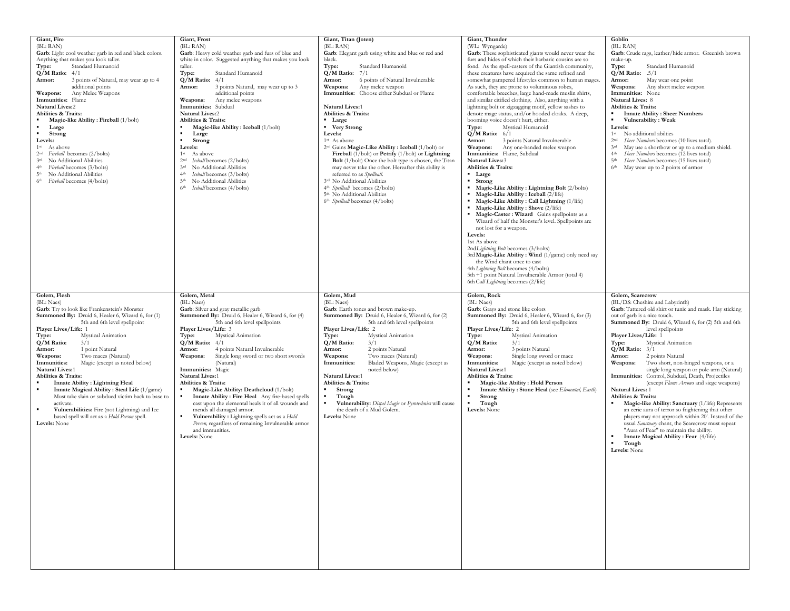| Giant, Fire<br>(BL: RAN)<br>Garb: Light cool weather garb in red and black colors.<br>Anything that makes you look taller.<br>Standard Humanoid<br>Type:<br>$Q/M$ Ratio: $4/1$<br>3 points of Natural, may wear up to 4<br>Armor:<br>additional points<br>Any Melee Weapons<br>Weapons:<br>Immunities: Flame<br><b>Natural Lives:2</b><br>Abilities & Traits:<br>Magic-like Ability: Fireball (1/bolt)<br>Large<br>Strong<br>Levels:<br>1 <sup>st</sup> As above<br>2 <sup>nd</sup> Fireball becomes (2/bolts)<br>No Additional Abilities<br>3rd<br>4 <sup>th</sup> Fireball becomes (3/bolts)<br>5 <sup>th</sup> No Additional Abilities<br>6 <sup>th</sup> Fireball becomes (4/bolts)         | Giant, Frost<br>(BL: RAN)<br>Garb: Heavy cold weather garb and furs of blue and<br>white in color. Suggested anything that makes you look<br>taller.<br>Type:<br>Standard Humanoid<br>$Q/M$ Ratio: $4/1$<br>3 points Natural, may wear up to 3<br>Armor:<br>additional points<br>Any melee weapons<br>Weapons:<br>Immunities: Subdual<br><b>Natural Lives:2</b><br>Abilities & Traits:<br>Magic-like Ability: Iceball (1/bolt)<br>Large<br>Strong<br>Levels:<br>1 <sup>st</sup><br>As above<br>2 <sup>nd</sup> Iceball becomes (2/bolts)<br>3rd No Additional Abilities<br>Iceball becomes (3/bolts)<br>4 <sup>th</sup><br>No Additional Abilities<br>5 <sup>th</sup><br>Iceball becomes (4/bolts)<br>6 <sup>th</sup>                                     | Giant, Titan (Joten)<br>(BL: RAN)<br>Garb: Elegant garb using white and blue or red and<br>black.<br>Standard Humanoid<br>Type:<br>$Q/M$ Ratio: $7/1$<br>6 points of Natural Invulnerable<br>Armor:<br>Weapons:<br>Any melee weapon<br>Immunities: Choose either Subdual or Flame<br><b>Natural Lives:1</b><br>Abilities & Traits:<br>• Large<br>• Very Strong<br>Levels:<br>1 <sup>st</sup> As above<br>2nd Gains Magic-Like Ability : Iceball (1/bolt) or<br>Fireball (1/bolt) or Petrify (1/bolt) or Lightning<br>Bolt (1/bolt) Once the bolt type is chosen, the Titan<br>may never take the other. Hereafter this ability is<br>referred to as Spellball.<br>3rd No Additional Abilities<br>4 <sup>th</sup> Spellball becomes (2/bolts)<br>5 <sup>th</sup> No Additional Abilities<br>6 <sup>th</sup> Spellball becomes (4/bolts) | Giant, Thunder<br>(WL: Wyngarde)<br>Garb: These sophisticated giants would never wear the<br>furs and hides of which their barbaric cousins are so<br>fond. As the spell-casters of the Giantish community,<br>these creatures have acquired the same refined and<br>somewhat pampered lifestyles common to human mages<br>As such, they are prone to voluminous robes,<br>comfortable breeches, large hand-made muslin shirts,<br>and similar citified clothing. Also, anything with a<br>lightning bolt or zigzagging motif, yellow sashes to<br>denote mage status, and/or hooded cloaks. A deep,<br>booming voice doesn't hurt, either.<br>Mystical Humanoid<br>Type:<br>$Q/M$ Ratio: $6/1$<br>Armor:<br>3 points Natural Invulnerable<br>Weapons: Any one-handed melee weapon<br>Immunities: Flame, Subdual<br>Natural Lives:3<br>Abilities & Traits:<br>• Large<br>$-$ Strong<br>Magic-Like Ability: Lightning Bolt (2/bolts)<br>Magic-Like Ability : Iceball (2/life)<br>Magic-Like Ability: Call Lightning (1/life)<br>Magic-Like Ability: Shove (2/life)<br>Magic-Caster: Wizard Gains spellpoints as a<br>Wizard of half the Monster's level. Spellpoints are<br>not lost for a weapon.<br>Levels:<br>1st As above<br>2ndLightning Bolt becomes (3/bolts)<br>3rd Magic-Like Ability: Wind (1/game) only need say<br>the Wind chant once to cast<br>4th Lightning Bolt becomes (4/bolts)<br>5th +1 point Natural Invulnerable Armor (total 4)<br>6th Call Lightning becomes (2/life) | Goblin<br>(BL: RAN)<br>Garb: Crude rags, leather/hide armor. Greenish brown<br>make-up.<br>Standard Humanoid<br>Type:<br>$Q/M$ Ratio: .5/1<br>May wear one point<br>Armor:<br>Weapons:<br>Any short melee weapon<br>Immunities: None<br><b>Natural Lives: 8</b><br>Abilities & Traits:<br><b>Innate Ability: Sheer Numbers</b><br>Vulnerability: Weak<br>$\blacksquare$<br>Levels:<br>1 <sup>st</sup><br>No additional abilities<br>Sheer Numbers becomes (10 lives total).<br>2 <sup>nd</sup><br>May use a shortbow or up to a medium shield.<br>3rd<br>Sheer Numbers becomes (12 lives total)<br>4 <sup>th</sup><br>5 <sup>th</sup><br>Sheer Numbers becomes (15 lives total)<br>May wear up to 2 points of armor<br>6 <sup>th</sup>                                                                                                                                                                                          |
|-------------------------------------------------------------------------------------------------------------------------------------------------------------------------------------------------------------------------------------------------------------------------------------------------------------------------------------------------------------------------------------------------------------------------------------------------------------------------------------------------------------------------------------------------------------------------------------------------------------------------------------------------------------------------------------------------|-----------------------------------------------------------------------------------------------------------------------------------------------------------------------------------------------------------------------------------------------------------------------------------------------------------------------------------------------------------------------------------------------------------------------------------------------------------------------------------------------------------------------------------------------------------------------------------------------------------------------------------------------------------------------------------------------------------------------------------------------------------|----------------------------------------------------------------------------------------------------------------------------------------------------------------------------------------------------------------------------------------------------------------------------------------------------------------------------------------------------------------------------------------------------------------------------------------------------------------------------------------------------------------------------------------------------------------------------------------------------------------------------------------------------------------------------------------------------------------------------------------------------------------------------------------------------------------------------------------|-----------------------------------------------------------------------------------------------------------------------------------------------------------------------------------------------------------------------------------------------------------------------------------------------------------------------------------------------------------------------------------------------------------------------------------------------------------------------------------------------------------------------------------------------------------------------------------------------------------------------------------------------------------------------------------------------------------------------------------------------------------------------------------------------------------------------------------------------------------------------------------------------------------------------------------------------------------------------------------------------------------------------------------------------------------------------------------------------------------------------------------------------------------------------------------------------------------------------------------------------------------------------------------------------------------------------------------------------------------------------------------------------------------------------------------------------------------------------------------------------|---------------------------------------------------------------------------------------------------------------------------------------------------------------------------------------------------------------------------------------------------------------------------------------------------------------------------------------------------------------------------------------------------------------------------------------------------------------------------------------------------------------------------------------------------------------------------------------------------------------------------------------------------------------------------------------------------------------------------------------------------------------------------------------------------------------------------------------------------------------------------------------------------------------------------------|
| Golem, Flesh<br>(BL: Naes)<br>Garb: Try to look like Frankenstein's Monster<br>Summoned By: Druid 6, Healer 6, Wizard 6, for (1)<br>5th and 6th level spellpoint<br>Player Lives/Life: 1<br>Type:<br><b>Mystical Animation</b><br>Q/M Ratio:<br>3/1<br>1 point Natural<br>Armor:<br>Weapons:<br>Two maces (Natural)<br>Magic (except as noted below)<br>Immunities:<br><b>Natural Lives:1</b><br>Abilities & Traits:<br><b>Innate Ability: Lightning Heal</b><br>Innate Magical Ability: Steal Life (1/game)<br>Must take slain or subdued victim back to base to<br>activate.<br>Vulnerabilities: Fire (not Lightning) and Ice<br>based spell will act as a Hold Person spell.<br>Levels: None | Golem, Metal<br>(BL: Naes)<br>Garb: Silver and gray metallic garb<br>Summoned By: Druid 6, Healer 6, Wizard 6, for (4)<br>5th and 6th level spellpoints<br>Player Lives/Life: 3<br>Type:<br><b>Mystical Animation</b><br>$Q/M$ Ratio: $4/1$<br>4 points Natural Invulnerable<br>Armor:<br>Single long sword or two short swords<br>Weapons:<br>(Natural)<br>Immunities: Magic<br><b>Natural Lives:1</b><br>Abilities & Traits:<br>Magic-Like Ability: Deathcloud (1/bolt)<br>Innate Ability : Fire Heal Any fire-based spells<br>cast upon the elemental heals it of all wounds and<br>mends all damaged armor.<br>Vulnerability: Lightning spells act as a Hold<br>Person, regardless of remaining Invulnerable armor<br>and immunities.<br>Levels: None | Golem, Mud<br>(BL: Naes)<br>Garb: Earth tones and brown make-up.<br>Summoned By: Druid 6, Healer 6, Wizard 6, for (2)<br>5th and 6th level spellpoints<br>Player Lives/Life: 2<br>Mystical Animation<br>Type:<br>Q/M Ratio:<br>3/1<br>2 points Natural<br>Armor:<br>Two maces (Natural)<br>Weapons:<br>Bladed Weapons, Magic (except as<br>Immunities:<br>noted below)<br><b>Natural Lives:1</b><br>Abilities & Traits:<br>Strong<br>$\blacksquare$<br>Tough<br>Vulnerability: Dispel Magic or Pyrotechnics will cause<br>the death of a Mud Golem.<br>Levels: None                                                                                                                                                                                                                                                                    | Golem, Rock<br>(BL: Naes)<br>Garb: Grays and stone like colors<br>Summoned By: Druid 6, Healer 6, Wizard 6, for (3)<br>5th and 6th level spellpoints<br>Player Lives/Life: 2<br>Type:<br><b>Mystical Animation</b><br>Q/M Ratio:<br>3/1<br>3 points Natural<br>Armor:<br>Single long sword or mace<br>Weapons:<br>Magic (except as noted below)<br>Immunities:<br><b>Natural Lives:1</b><br>Abilities & Traits:<br>Magic-like Ability: Hold Person<br>Innate Ability: Stone Heal (see Elemental, Earth)<br>Strong<br>Tough<br>Levels: None                                                                                                                                                                                                                                                                                                                                                                                                                                                                                                                                                                                                                                                                                                                                                                                                                                                                                                                                                    | Golem, Scarecrow<br>(BL/DS: Cheshire and Labyrinth)<br>Garb: Tattered old shirt or tunic and mask. Hay sticking<br>out of garb is a nice touch.<br>Summoned By: Druid 6, Wizard 6, for (2) 5th and 6th<br>level spellpoints<br>Player Lives/Life: 1<br>Type:<br><b>Mystical Animation</b><br>$Q/M$ Ratio: $3/1$<br>2 points Natural<br>Armor:<br>Two short, non-hinged weapons, or a<br>Weapons:<br>single long weapon or pole-arm (Natural)<br>Immunities: Control, Subdual, Death, Projectiles<br>(except Flame Arrows and siege weapons)<br><b>Natural Lives: 1</b><br>Abilities & Traits:<br>Magic-like Ability: Sanctuary (1/life) Represents<br>an eerie aura of terror so frightening that other<br>players may not approach within 20'. Instead of the<br>usual Sanctuary chant, the Scarecrow must repeat<br>"Aura of Fear" to maintain the ability.<br>Innate Magical Ability: Fear (4/life)<br>Tough<br>Levels: None |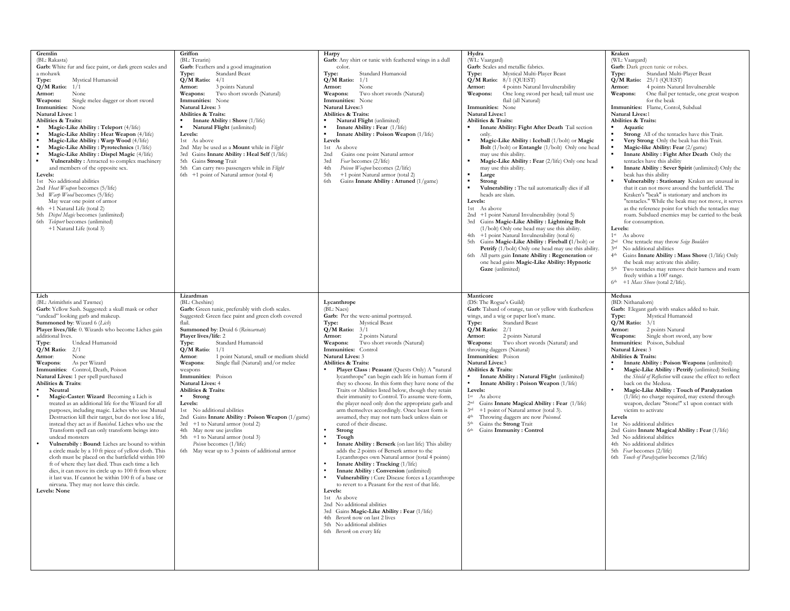| Gremlin<br>(BL: Rakasta)<br>Garb: White fur and face paint, or dark green scales and<br>a mohawk<br>Type:<br>Mystical Humanoid<br>$Q/M$ Ratio: $1/1$<br>Armor:<br>None<br>Single melee dagger or short sword<br>Weapons:<br>Immunities: None<br><b>Natural Lives: 1</b><br>Abilities & Traits:<br>Magic-Like Ability: Teleport (4/life)<br>Magic-Like Ability : Heat Weapon (4/life)<br>Magic-Like Ability: Warp Wood (4/life)<br>Magic-Like Ability: Pyrotechnics (1/life)<br>Magic-Like Ability: Dispel Magic (4/life)<br>Vulnerabilty: Attracted to complex machinery<br>and members of the opposite sex.<br>Levels:<br>1st No additional abilities<br>2nd Heat Weapon becomes (5/life)<br>3rd Warp Wood becomes (5/life)<br>May wear one point of armor<br>4th +1 Natural Life (total 2)<br>5th Dispel Magic becomes (unlimited)<br>6th Teleport becomes (unlimited)<br>+1 Natural Life (total 3)                                                                                                                                                                                                                                                                                                              | Griffon<br>(BL: Terarin)<br>Garb: Feathers and a good imagination<br>Standard Beast<br>Type:<br>$Q/M$ Ratio: $4/1$<br>3 points Natural<br>Armor:<br>Two short swords (Natural)<br>Weapons:<br>Immunities: None<br>Natural Lives: 3<br>Abilities & Traits:<br><b>Innate Ability: Shove</b> (1/life)<br>Natural Flight (unlimited)<br>Levels:<br>1st As above<br>2nd May be used as a Mount while in Flight<br>3rd Gains Innate Ability : Heal Self (1/life)<br>5th Gains Strong Trait<br>5th Can carry two passengers while in Flight<br>6th +1 point of Natural armor (total 4)                                                                                                                                                                       | Harpy<br>Garb: Any shirt or tunic with feathered wings in a dull<br>color.<br>Type:<br>Standard Humanoid<br>$Q/M$ Ratio: $1/1$<br>Armor:<br>None<br>Two short swords (Natural)<br>Weapons:<br>Immunities: None<br>Natural Lives:3<br>Abilities & Traits:<br>Natural Flight (unlimited)<br>Innate Ability: Fear (1/life)<br>Innate Ability: Poison Weapon (1/life)<br>Levels<br>1st As above<br>Gains one point Natural armor<br>2nd<br>Fear becomes (2/life)<br>3rd<br>Poison Weapon becomes (2/life)<br>4th<br>+1 point Natural armor (total 2)<br>5th<br>Gains Innate Ability: Attuned (1/game)<br>6th                                                                                                                                                                                                                                                                                                                                                                                                                                                                                                                                                                                                                                                                                                          | Hydra<br>(WL: Vaargard)<br>Garb: Scales and metallic fabrics.<br>Mystical Multi-Player Beast<br>Type:<br>$Q/M$ Ratio: $8/1$ (QUEST)<br>4 points Natural Invulnerability<br>Armor:<br>One long sword per head; tail must use<br>Weapons:<br>flail (all Natural)<br>Immunities: None<br><b>Natural Lives:1</b><br>Abilities & Traits:<br>Innate Ability: Fight After Death Tail section<br>only.<br>Magic-Like Ability: Iceball (1/bolt) or Magic<br>Bolt (1/bolt) or Entangle (1/bolt) Only one head<br>may use this ability.<br>Magic-Like Ability: Fear (2/life) Only one head<br>may use this ability.<br>Large<br>Strong<br>Vulnerability : The tail automatically dies if all<br>heads are slain.<br>Levels:<br>1st As above<br>2nd +1 point Natural Invulnerability (total 5)<br>3rd Gains Magic-Like Ability : Lightning Bolt<br>(1/bolt) Only one head may use this ability.<br>+1 point Natural Invulnerability (total 6)<br>4th<br>Gains Magic-Like Ability: Fireball (1/bolt) or<br>5th<br>Petrify (1/bolt) Only one head may use this ability.<br>6th<br>All parts gain Innate Ability: Regeneration or<br>one head gains Magic-Like Ability: Hypnotic<br>Gaze (unlimited) | Kraken<br>(WL: Vaargard)<br>Garb: Dark green tunic or robes.<br>Type:<br>Standard Multi-Player Beast<br>$Q/M$ Ratio: $25/1$ (QUEST)<br>4 points Natural Invulnerable<br>Armor:<br>One flail per tentacle, one great weapon<br>Weapons:<br>for the beak<br>Immunities: Flame, Contol, Subdual<br>Natural Lives:1<br>Abilities & Traits:<br>Aquatic<br>Strong All of the tentacles have this Trait.<br>Very Strong Only the beak has this Trait.<br>Magic-like Ability: Fear (2/game)<br>$\blacksquare$<br>Innate Ability: Fight After Death Only the<br>$\blacksquare$<br>tentacles have this ability<br>Innate Ability: Sever Spirit (unlimited) Only the<br>beak has this ability<br>Vulnerabilty: Stationary Kraken are unusual in<br>that it can not move around the battlefield. The<br>Kraken's "beak" is stationary and anchors its<br>"tentacles." While the beak may not move, it serves<br>as the reference point for which the tentacles may<br>roam. Subdued enemies may be carried to the beak<br>for consumption.<br>Levels:<br>1 <sup>st</sup><br>As above<br>One tentacle may throw Seige Boulders<br>2 <sub>nd</sub><br>No additional abilities<br>3rd<br>Gains Innate Ability: Mass Shove (1/life) Only<br>4 <sup>th</sup><br>the beak may activate this ability.<br>5 <sup>th</sup><br>Two tentacles may remove their harness and roam<br>freely within a 100' range.<br>6 <sup>th</sup><br>+1 Mass Shove (total 2/life). |
|--------------------------------------------------------------------------------------------------------------------------------------------------------------------------------------------------------------------------------------------------------------------------------------------------------------------------------------------------------------------------------------------------------------------------------------------------------------------------------------------------------------------------------------------------------------------------------------------------------------------------------------------------------------------------------------------------------------------------------------------------------------------------------------------------------------------------------------------------------------------------------------------------------------------------------------------------------------------------------------------------------------------------------------------------------------------------------------------------------------------------------------------------------------------------------------------------------------------|-------------------------------------------------------------------------------------------------------------------------------------------------------------------------------------------------------------------------------------------------------------------------------------------------------------------------------------------------------------------------------------------------------------------------------------------------------------------------------------------------------------------------------------------------------------------------------------------------------------------------------------------------------------------------------------------------------------------------------------------------------|-------------------------------------------------------------------------------------------------------------------------------------------------------------------------------------------------------------------------------------------------------------------------------------------------------------------------------------------------------------------------------------------------------------------------------------------------------------------------------------------------------------------------------------------------------------------------------------------------------------------------------------------------------------------------------------------------------------------------------------------------------------------------------------------------------------------------------------------------------------------------------------------------------------------------------------------------------------------------------------------------------------------------------------------------------------------------------------------------------------------------------------------------------------------------------------------------------------------------------------------------------------------------------------------------------------------|---------------------------------------------------------------------------------------------------------------------------------------------------------------------------------------------------------------------------------------------------------------------------------------------------------------------------------------------------------------------------------------------------------------------------------------------------------------------------------------------------------------------------------------------------------------------------------------------------------------------------------------------------------------------------------------------------------------------------------------------------------------------------------------------------------------------------------------------------------------------------------------------------------------------------------------------------------------------------------------------------------------------------------------------------------------------------------------------------------------------------------------------------------------------------------------|---------------------------------------------------------------------------------------------------------------------------------------------------------------------------------------------------------------------------------------------------------------------------------------------------------------------------------------------------------------------------------------------------------------------------------------------------------------------------------------------------------------------------------------------------------------------------------------------------------------------------------------------------------------------------------------------------------------------------------------------------------------------------------------------------------------------------------------------------------------------------------------------------------------------------------------------------------------------------------------------------------------------------------------------------------------------------------------------------------------------------------------------------------------------------------------------------------------------------------------------------------------------------------------------------------------------------------------------------------------------------------------------------------------------------------------------|
| Lich<br>(BL: Arimithris and Tawnee)<br>Garb: Yellow Sash. Suggested: a skull mask or other<br>"undead" looking garb and makeup.<br>Summoned by: Wizard 6 (Lich)<br>Player lives/life: 0. Wizards who become Liches gain<br>additional lives.<br>Type:<br>Undead Humanoid<br>$Q/M$ Ratio: $2/1$<br>None<br>Armor:<br>As per Wizard<br>Weapons:<br>Immunities: Control, Death, Poison<br>Natural Lives: 1 per spell purchased<br>Abilities & Traits:<br>Neutral<br>Magic-Caster: Wizard Becoming a Lich is<br>treated as an additional life for the Wizard for all<br>purposes, including magic. Liches who use Mutual<br>Destruction kill their target, but do not lose a life,<br>instead they act as if Banished. Liches who use the<br>Transform spell can only transform beings into<br>undead monsters<br>Vulnerabily: Bound: Liches are bound to within<br>a circle made by a 10 ft piece of yellow cloth. This<br>cloth must be placed on the battlefield within 100<br>ft of where they last died. Thus each time a lich<br>dies, it can move its circle up to 100 ft from where<br>it last was. If cannot be within 100 ft of a base or<br>nirvana. They may not leave this circle.<br><b>Levels: None</b> | Lizardman<br>(BL: Cheshire)<br>Garb: Green tunic, preferably with cloth scales.<br>Suggested: Green face paint and green cloth covered<br>flail.<br>Summoned by: Druid 6 (Reincarnate)<br>Player lives/life: 2<br>Type:<br>Standard Humanoid<br>$Q/M$ Ratio: $1/1$<br>1 point Natural, small or medium shield<br>Armor:<br>Single flail (Natural) and/or melee<br>Weapons:<br>weapons<br>Immunities: Poison<br>Natural Lives: 4<br>Abilities & Traits:<br>Strong<br>Levels:<br>1st No additional abilities<br>2nd Gains Innate Ability: Poison Weapon (1/game)<br>3rd +1 to Natural armor (total 2)<br>4th May now use javelins<br>+1 to Natural armor (total 3)<br>5th<br>Poison becomes (1/life)<br>6th May wear up to 3 points of additional armor | Lycanthrope<br>(BL: Naes)<br>Garb: Per the were-animal portrayed.<br><b>Mystical Beast</b><br>Type:<br>$Q/M$ Ratio: $3/1$<br>2 points Natural<br>Armor:<br>Two short swords (Natural)<br>Weapons:<br>Immunities: Control<br><b>Natural Lives: 3</b><br>Abilities & Traits:<br>Player Class: Peasant (Quests Only) A "natural<br>lycanthrope" can begin each life in human form if<br>they so choose. In this form they have none of the<br>Traits or Abilities listed below, though they retain<br>their immunity to Control. To assume were-form,<br>the player need only don the appropriate garb and<br>arm themselves accordingly. Once beast form is<br>assumed, they may not turn back unless slain or<br>cured of their disease.<br>Strong<br>Tough<br>Innate Ability: Berserk (on last life) This ability<br>adds the 2 points of Berserk armor to the<br>Lycanthropes own Natural armor (total 4 points)<br>Innate Ability: Tracking (1/life)<br>Innate Ability: Conversion (unlimited)<br>Vulnerability: Cure Disease forces a Lycanthrope<br>to revert to a Peasant for the rest of that life.<br>Levels:<br>1st As above<br>2nd No additional abilities<br>3rd Gains Magic-Like Ability: Fear (1/life)<br>4th Berserk now on last 2 lives<br>5th No additional abilities<br>6th Berserk on every life | Manticore<br>(DS: The Rogue's Guild)<br>Garb: Tabard of orange, tan or yellow with featherless<br>wings, and a wig or paper lion's mane.<br><b>Standard Beast</b><br>Type:<br>$Q/M$ Ratio: $2/1$<br>2 points Natural<br>Armor:<br>Weapons:<br>Two short swords (Natural) and<br>throwing daggers (Natural)<br>Immunities: Poison<br>Natural Lives:3<br>Abilities & Traits:<br>Innate Ability: Natural Flight (unlimited)<br>Innate Ability: Poison Weapon (1/life)<br>Levels:<br>$1^{\rm st}$<br>As above<br>2 <sup>nd</sup><br>Gains Innate Magical Ability: Fear (1/life)<br>+1 point of Natural armor (total 3).<br>3rd<br>4 <sup>th</sup><br>Throwing daggers are now Poisoned.<br>5 <sup>th</sup><br>Gains the Strong Trait<br>6 <sup>th</sup><br>Gains Immunity : Control                                                                                                                                                                                                                                                                                                                                                                                                       | Medusa<br>(BD: Nithanalorn)<br>Garb: Elegant garb with snakes added to hair.<br>Mystical Humanoid<br>Type:<br>$Q/M$ Ratio: $3/1$<br>Armor:<br>2 points Natural<br>Single short sword, any bow<br>Weapons:<br>Immunities: Poison, Subdual<br><b>Natural Lives: 3</b><br>Abilities & Traits:<br>Innate Ability: Poison Weapons (unlimited)<br>Magic-Like Ability: Petrify (unlimited) Striking<br>the Shield of Reflection will cause the effect to reflect<br>back on the Medusa.<br>Magic-Like Ability: Touch of Paralyzation<br>(1/life) no charge required, may extend through<br>weapon, declare "Stone!" x1 upon contact with<br>victim to activate<br>Levels<br>1st No additional abilities<br>2nd Gains Innate Magical Ability: Fear (1/life)<br>3rd No additional abilities<br>4th No additional abilities<br>5th Fear becomes (2/life)<br>6th Touch of Paralyzation becomes (2/life)                                                                                                                                                                                                                                                                                                                                                                                                                                                                                                                                                |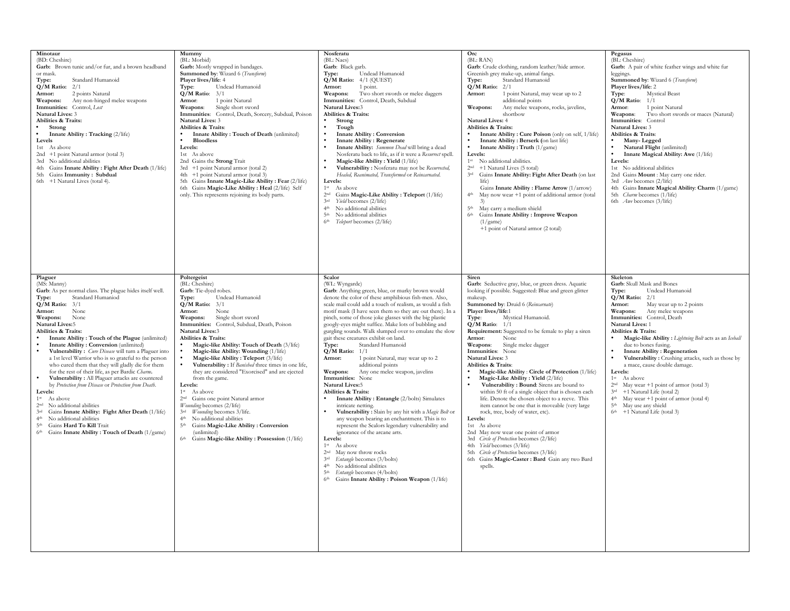| Minotaur<br>(BD: Cheshire)<br>Garb: Brown tunic and/or fur, and a brown headband<br>or mask.<br>Type:<br>Standard Humanoid<br>$Q/M$ Ratio: $2/1$<br>2 points Natural<br>Armor:<br>Any non-hinged melee weapons<br>Weapons:<br>Immunities: Control, Lost<br><b>Natural Lives: 3</b><br>Abilities & Traits:<br>Strong<br>Innate Ability: Tracking (2/life)<br>Levels<br>1st As above<br>2nd +1 point Natural armor (total 3)<br>3rd No additional abilities<br>4th Gains Innate Ability: Fight After Death (1/life)<br>5th Gains Immunity: Subdual<br>6th +1 Natural Lives (total 4).                                                                                                                                                                                                                                                                                                                                                                           | Mummy<br>(BL: Morbid)<br>Garb: Mostly wrapped in bandages.<br>Summoned by: Wizard 6 (Transform)<br>Player lives/life: 4<br>Undead Humanoid<br>Type:<br>$Q/M$ Ratio: $3/1$<br>Armor:<br>1 point Natural<br>Weapons:<br>Single short sword<br>Immunities: Control, Death, Sorcery, Subdual, Poison<br><b>Natural Lives: 3</b><br>Abilities & Traits:<br>Innate Ability: Touch of Death (unlimited)<br><b>Bloodless</b><br>Levels:<br>1st As above<br>2nd Gains the Strong Trait<br>3rd +1 point Natural armor (total 2)<br>4th +1 point Natural armor (total 3)<br>5th Gains Innate Magic-Like Ability : Fear (2/life)<br>6th Gains Magic-Like Ability : Heal (2/life) Self<br>only. This represents rejoining its body parts.                                                                                                                                                         | Nosferatu<br>(BL: Naes)<br>Garb: Black garb.<br>Undead Humanoid<br>Type:<br>$Q/M$ Ratio: $4/1$ (QUEST)<br>1 point.<br>Armor:<br>Weapons: Two short swords or melee daggers<br>Immunities: Control, Death, Subdual<br>Natural Lives:3<br>Abilities & Traits:<br>Strong<br>Tough<br><b>Innate Ability: Conversion</b><br><b>Innate Ability: Regenerate</b><br>Innate Ability: Summon Dead will bring a dead<br>Nosferatu back to life, as if it were a Resurrect spell.<br>Magic-like Ability: Yield (1/life)<br>Vulnerability: Nosferatu may not be Resurrected,<br>Healed, Reanimated, Transformed Or Reincarnated.<br>Levels:<br>1 <sup>st</sup><br>As above<br>Gains Magic-Like Ability: Teleport (1/life)<br>2 <sub>nd</sub><br>Yield becomes (2/life)<br>3rd<br>No additional abilities<br>4 <sup>th</sup><br>5 <sup>th</sup><br>No additional abilities<br>6 <sup>th</sup><br>Teleport becomes (2/life)                                                                                                                                                                                                                                                                                                                                                                                   | Orc<br>(BL: RAN)<br>Garb: Crude clothing, random leather/hide armor.<br>Greenish grey make-up, animal fangs.<br>Standard Humanoid<br>Type:<br>$Q/M$ Ratio: $2/1$<br>1 point Natural, may wear up to 2<br>Armor:<br>additional points<br>Weapons:<br>Any melee weapons, rocks, javelins,<br>shortbow<br>Natural Lives: 4<br>Abilities & Traits:<br>Innate Ability: Cure Poison (only on self, 1/life)<br>Innate Ability: Berserk (on last life)<br>Innate Ability: Truth $(1/game)$<br>Levels:<br>1 <sup>st</sup><br>No additional abilities.<br>+1 Natural Lives (5 total)<br>2nd<br>3rd<br>Gains Innate Ability: Fight After Death (on last<br>life)<br>Gains Innate Ability: Flame Arrow (1/arrow)<br>May now wear +1 point of additional armor (total<br>5 <sup>th</sup><br>May carry a medium shield<br>Gains Innate Ability : Improve Weapon<br>6 <sup>th</sup><br>(1/game)<br>+1 point of Natural armor (2 total)                                                                                                                             | Pegasus<br>(BL: Cheshire)<br>Garb: A pair of white feather wings and white fur<br>leggings.<br>Summoned by: Wizard 6 (Transform)<br>Player lives/life: 2<br><b>Mystical Beast</b><br>Type:<br>$Q/M$ Ratio: $1/1$<br>1 point Natural<br>Armor:<br>Weapons:<br>Two short swords or maces (Natural)<br>Immunities: Control<br>Natural Lives: 3<br>Abilities & Traits:<br>Many-Legged<br>Natural Flight (unlimited)<br>Innate Magical Ability: Awe (1/life)<br>Levels:<br>1st No additional abilities<br>2nd Gains Mount : May carry one rider.<br>3rd <i>Awe</i> becomes (2/life)<br>4th Gains Innate Magical Ability: Charm (1/game)<br>5th <i>Charm</i> becomes (1/life)<br>6th <i>Awe</i> becomes (3/life)                                         |
|---------------------------------------------------------------------------------------------------------------------------------------------------------------------------------------------------------------------------------------------------------------------------------------------------------------------------------------------------------------------------------------------------------------------------------------------------------------------------------------------------------------------------------------------------------------------------------------------------------------------------------------------------------------------------------------------------------------------------------------------------------------------------------------------------------------------------------------------------------------------------------------------------------------------------------------------------------------|--------------------------------------------------------------------------------------------------------------------------------------------------------------------------------------------------------------------------------------------------------------------------------------------------------------------------------------------------------------------------------------------------------------------------------------------------------------------------------------------------------------------------------------------------------------------------------------------------------------------------------------------------------------------------------------------------------------------------------------------------------------------------------------------------------------------------------------------------------------------------------------|------------------------------------------------------------------------------------------------------------------------------------------------------------------------------------------------------------------------------------------------------------------------------------------------------------------------------------------------------------------------------------------------------------------------------------------------------------------------------------------------------------------------------------------------------------------------------------------------------------------------------------------------------------------------------------------------------------------------------------------------------------------------------------------------------------------------------------------------------------------------------------------------------------------------------------------------------------------------------------------------------------------------------------------------------------------------------------------------------------------------------------------------------------------------------------------------------------------------------------------------------------------------------------------------|-----------------------------------------------------------------------------------------------------------------------------------------------------------------------------------------------------------------------------------------------------------------------------------------------------------------------------------------------------------------------------------------------------------------------------------------------------------------------------------------------------------------------------------------------------------------------------------------------------------------------------------------------------------------------------------------------------------------------------------------------------------------------------------------------------------------------------------------------------------------------------------------------------------------------------------------------------------------------------------------------------------------------------------------------------|----------------------------------------------------------------------------------------------------------------------------------------------------------------------------------------------------------------------------------------------------------------------------------------------------------------------------------------------------------------------------------------------------------------------------------------------------------------------------------------------------------------------------------------------------------------------------------------------------------------------------------------------------------------------------------------------------------------------------------------------------|
| Plaguer<br>(MS: Manny)<br>Garb: As per normal class. The plague hides itself well.<br>Standard Humaniod<br>Type:<br>$Q/M$ Ratio: $3/1$<br>Armor:<br>None<br>Weapons:<br>None<br>Natural Lives:5<br>Abilities & Traits:<br>Innate Ability: Touch of the Plague (unlimited)<br>Innate Ability: Conversion (unlimited)<br>Vulnerability: Cure Disease will turn a Plaguer into<br>a 1st level Warrior who is so grateful to the person<br>who cured them that they will gladly die for them<br>for the rest of their life, as per Bardic Charm.<br>Vulnerability: All Plaguer attacks are countered<br>by Protection from Disease or Protection from Death.<br>Levels:<br>1 <sup>st</sup><br>As above<br>2 <sup>nd</sup><br>No additional abilities<br>Gains Innate Ability: Fight After Death (1/life)<br>3rd<br>No additional abilities<br>4 <sup>th</sup><br>5 <sup>th</sup><br>Gains Hard To Kill Trait<br>6th Gains Innate Ability: Touch of Death (1/game) | Poltergeist<br>(BL: Cheshire)<br>Garb: Tie-dyed robes.<br>Undead Humanoid<br>Type:<br>$Q/M$ Ratio: $3/1$<br>None<br>Armor:<br>Weapons:<br>Single short sword<br>Immunities: Control, Subdual, Death, Poison<br><b>Natural Lives:3</b><br>Abilities & Traits:<br>Magic-like Ability: Touch of Death (3/life)<br>Magic-like Ability: Wounding (1/life)<br>Magic-like Ability: Teleport (3/life)<br>Vulnerability : If Banished three times in one life,<br>they are considered "Exorcised" and are ejected<br>from the game.<br>Levels:<br>1 <sup>st</sup><br>As above<br>Gains one point Natural armor<br>2 <sup>nd</sup><br>Wounding becomes (2/life)<br>Wounding becomes 3/life.<br>3rd<br>No additional abilities<br>4 <sup>th</sup><br>5 <sup>th</sup><br>Gains Magic-Like Ability: Conversion<br>(unlimited)<br>6 <sup>th</sup><br>Gains Magic-like Ability: Possession (1/life) | Scalor<br>(WL: Wyngarde)<br>Garb: Anything green, blue, or murky brown would<br>denote the color of these amphibious fish-men. Also,<br>scale mail could add a touch of realism, as would a fish<br>motif mask (I have seen them so they are out there). In a<br>pinch, some of those joke glasses with the big plastic<br>googly-eyes might suffice. Make lots of bubbling and<br>gurgling sounds. Walk slumped over to emulate the slow<br>gait these creatures exhibit on land.<br>Standard Humanoid<br>Type:<br>$Q/M$ Ratio: $1/1$<br>1 point Natural, may wear up to 2<br>Armor:<br>additional points<br><b>Weapons:</b><br>Any one melee weapon, javelins<br>Immunities: None<br><b>Natural Lives:5</b><br>Abilities & Traits:<br>Innate Ability: Entangle (2/bolts) Simulates<br>intricate netting.<br>Vulnerability: Slain by any hit with a Magic Bolt or<br>any weapon bearing an enchantment. This is to<br>represent the Scalors legendary vulnerability and<br>ignorance of the arcane arts.<br>Levels:<br>$1^{\rm st}$<br>As above<br>$2^{\rm nd}$<br>May now throw rocks<br>3rd<br>Entangle becomes (3/bolts)<br>No additional abilities<br>4 <sup>th</sup><br>Entangle becomes (4/bolts)<br>5 <sup>th</sup><br>Gains Innate Ability: Poison Weapon (1/life)<br>6 <sup>th</sup> | Siren<br>Garb: Seductive gray, blue, or green dress. Aquatic<br>looking if possible. Suggested: Blue and green glitter<br>makeup.<br>Summoned by: Druid 6 (Reincarnate)<br>Player lives/life:1<br>Mystical Humanoid.<br>Type:<br>$Q/M$ Ratio: $1/1$<br><b>Requirement:</b> Suggested to be female to play a siren<br>Armor:<br>None<br>Weapons:<br>Single melee dagger<br>Immunities: None<br><b>Natural Lives: 3</b><br>Abilities & Traits:<br>Magic-like Ability: Circle of Protection (1/life)<br>Magic-Like Ability: Yield (2/life)<br>Vulnerability: Bound: Sirens are bound to<br>within 50 ft of a single object that is chosen each<br>life. Denote the chosen object to a reeve. This<br>item cannot be one that is moveable (very large<br>rock, tree, body of water, etc).<br>Levels:<br>1st As above<br>2nd May now wear one point of armor<br>3rd Circle of Protection becomes (2/life)<br>4th Yield becomes (3/life)<br>5th <i>Circle of Protection</i> becomes (3/life)<br>6th Gains Magic-Caster: Bard Gain any two Bard<br>spells. | Skeleton<br>Garb: Skull Mask and Bones<br>Undead Humanoid<br>Type:<br>$Q/M$ Ratio: $2/1$<br>Armor:<br>May wear up to 2 points<br>Any melee weapons<br>Weapons:<br>Immunities: Control, Death<br>Natural Lives: 1<br>Abilities & Traits:<br>Magic-like Ability : Lightning Bolt acts as an Iceball<br>due to bones fusing.<br><b>Innate Ability: Regeneration</b><br>Vulnerability: Crushing attacks, such as those by<br>a mace, cause double damage.<br>Levels:<br>$1^{\rm st}$<br>As above<br>May wear $+1$ point of armor (total 3)<br>2 <sup>nd</sup><br>$3rd +1$ Natural Life (total 2)<br>May wear $+1$ point of armor (total 4)<br>4 <sup>th</sup><br>May use any shield<br>5 <sup>th</sup><br>6 <sup>th</sup><br>+1 Natural Life (total 3) |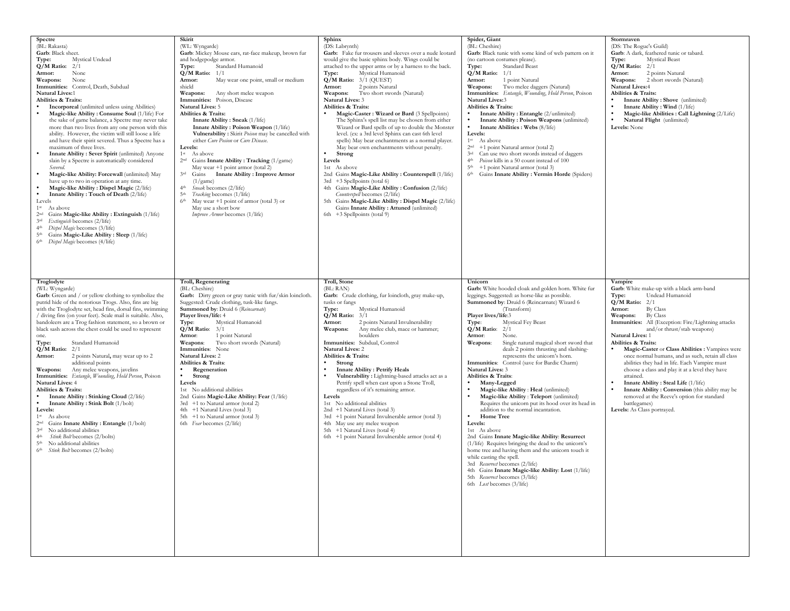| Spectre<br>(BL: Rakasta)<br>Garb: Black sheet.<br>Mystical Undead<br>Type:<br>$Q/M$ Ratio: $2/1$<br>Armor:<br>None<br>Weapons:<br>None<br>Immunities: Control, Death, Subdual<br>Natural Lives:1<br><b>Abilities &amp; Traits:</b><br><b>Incorporeal</b> (unlimited unless using Abilities)<br>Magic-like Ability: Consume Soul (1/life) For<br>the sake of game balance, a Spectre may never take<br>more than two lives from any one person with this<br>ability. However, the victim will still loose a life<br>and have their spirit severed. Thus a Spectre has a<br>maximum of three lives.<br>Innate Ability: Sever Spirit (unlimited) Anyone<br>slain by a Spectre is automatically considered<br>Severed.<br>Magic-like Ability: Forcewall (unlimited) May<br>have up to two in operation at any time.<br>Magic-like Ability: Dispel Magic (2/life)<br>Innate Ability: Touch of Death (2/life)<br>Levels<br>1 <sup>st</sup> As above<br>2nd Gains Magic-like Ability : Extinguish (1/life)<br>3rd Extinguish becomes (2/life)<br>4 <sup>th</sup> Dispel Magic becomes (3/life)<br>5 <sup>th</sup> Gains Magic-Like Ability: Sleep (1/life)<br>6 <sup>th</sup> Dispel Magic becomes (4/life) | Skirit<br>(WL: Wyngarde)<br>Garb: Mickey Mouse ears, rat-face makeup, brown fur<br>and hodgepodge armor.<br>Standard Humanoid<br>Type:<br>$Q/M$ Ratio: $1/1$<br>May wear one point, small or medium<br>Armor:<br>shield<br>Weapons:<br>Any short melee weapon<br>Immunities: Poison, Disease<br><b>Natural Lives: 5</b><br>Abilities & Traits:<br>Innate Ability: Sneak (1/life)<br>Innate Ability: Poison Weapon (1/life)<br>Vulnerability : Skirit Poison may be cancelled with<br>either Cure Posion or Cure Disease.<br>Levels:<br>1 <sup>st</sup> As above<br>2 <sup>nd</sup> Gains Innate Ability: Tracking (1/game)<br>May wear +1 point armor (total 2)<br>3rd<br><b>Innate Ability: Improve Armor</b><br>Gains<br>(1/game)<br>4 <sup>th</sup><br>Sneak becomes (2/life)<br>Tracking becomes (1/life)<br>5 <sup>th</sup><br>6 <sup>th</sup><br>May wear $+1$ point of armor (total 3) or<br>May use a short bow<br>Improve Armor becomes (1/life) | Sphinx<br>(DS: Labrynth)<br>Garb: Fake fur trousers and sleeves over a nude leotard<br>would give the basic sphinx body. Wings could be<br>attached to the upper arms or by a harness to the back.<br>Mystical Humanoid<br>Type:<br>$Q/M$ Ratio: $3/1$ (QUEST)<br>2 points Natural<br>Armor:<br>Weapons: Two short swords (Natural)<br><b>Natural Lives: 3</b><br>Abilities & Traits:<br>Magic-Caster: Wizard or Bard (3 Spellpoints)<br>The Sphinx's spell list may be chosen from either<br>Wizard or Bard spells of up to double the Monster<br>level. (ex: a 3rd level Sphinx can cast 6th level<br>spells) May bear enchantments as a normal player.<br>May bear own enchantments without penalty.<br>Strong<br>Levels<br>1st As above<br>2nd Gains Magic-Like Ability: Counterspell (1/life)<br>3rd +3 Spellpoints (total 6)<br>4th Gains Magic-Like Ability: Confusion (2/life)<br>Counterspell becomes (2/life)<br>5th Gains Magic-Like Ability : Dispel Magic (2/life)<br>Gains Innate Ability: Attuned (unlimited)<br>6th +3 Spellpoints (total 9) | Spider, Giant<br>(BL: Cheshire)<br>Garb: Black tunic with some kind of web pattern on it<br>(no cartoon costumes please).<br>Standard Beast<br>Type:<br>$Q/M$ Ratio: $1/1$<br>Armor:<br>1 point Natural<br>Two melee daggers (Natural)<br>Weapons:<br>Immunities: Entangle, Wounding, Hold Person, Poison<br>Natural Lives:3<br>Abilities & Traits:<br>Innate Ability: Entangle (2/unlimited)<br>Innate Ability: Poison Weapons (unlimited)<br>Innate Abilities : Webs (8/life)<br>Levels:<br>1 <sup>st</sup><br>As above<br>+1 point Natural armor (total 2)<br>2 <sup>nd</sup><br>Can use two short swords instead of daggers<br>3rd<br>Poison kills in a 50 count instead of 100<br>4 <sup>th</sup><br>+1 point Natural armor (total 3)<br>5 <sup>th</sup><br>6th Gains Innate Ability : Vermin Horde (Spiders)                                                                                                                                                                                                                                                                                                     | Stormraven<br>(DS: The Rogue's Guild)<br>Garb: A dark, feathered tunic or tabard.<br><b>Mystical Beast</b><br>Type:<br>$Q/M$ Ratio: $2/1$<br>Armor:<br>2 points Natural<br>2 short swords (Natural)<br>Weapons:<br><b>Natural Lives:4</b><br>Abilities & Traits:<br>Innate Ability: Shove (unlimited)<br>Innate Ability: Wind (1/life)<br>Magic-like Abilities : Call Lightning (2/Life)<br>Natural Flight (unlimited)<br>Levels: None                                                                                                                                                                                                                                                                             |
|------------------------------------------------------------------------------------------------------------------------------------------------------------------------------------------------------------------------------------------------------------------------------------------------------------------------------------------------------------------------------------------------------------------------------------------------------------------------------------------------------------------------------------------------------------------------------------------------------------------------------------------------------------------------------------------------------------------------------------------------------------------------------------------------------------------------------------------------------------------------------------------------------------------------------------------------------------------------------------------------------------------------------------------------------------------------------------------------------------------------------------------------------------------------------------------------------|-----------------------------------------------------------------------------------------------------------------------------------------------------------------------------------------------------------------------------------------------------------------------------------------------------------------------------------------------------------------------------------------------------------------------------------------------------------------------------------------------------------------------------------------------------------------------------------------------------------------------------------------------------------------------------------------------------------------------------------------------------------------------------------------------------------------------------------------------------------------------------------------------------------------------------------------------------------|--------------------------------------------------------------------------------------------------------------------------------------------------------------------------------------------------------------------------------------------------------------------------------------------------------------------------------------------------------------------------------------------------------------------------------------------------------------------------------------------------------------------------------------------------------------------------------------------------------------------------------------------------------------------------------------------------------------------------------------------------------------------------------------------------------------------------------------------------------------------------------------------------------------------------------------------------------------------------------------------------------------------------------------------------------------|------------------------------------------------------------------------------------------------------------------------------------------------------------------------------------------------------------------------------------------------------------------------------------------------------------------------------------------------------------------------------------------------------------------------------------------------------------------------------------------------------------------------------------------------------------------------------------------------------------------------------------------------------------------------------------------------------------------------------------------------------------------------------------------------------------------------------------------------------------------------------------------------------------------------------------------------------------------------------------------------------------------------------------------------------------------------------------------------------------------------|--------------------------------------------------------------------------------------------------------------------------------------------------------------------------------------------------------------------------------------------------------------------------------------------------------------------------------------------------------------------------------------------------------------------------------------------------------------------------------------------------------------------------------------------------------------------------------------------------------------------------------------------------------------------------------------------------------------------|
| Troglodyte<br>(WL: Wyngarde)<br>Garb: Green and / or yellow clothing to symbolize the<br>putrid hide of the notorious Trogs. Also, fins are big<br>with the Troglodyte set, head fins, dorsal fins, swimming<br>/ diving fins (on your feet). Scale mail is suitable. Also,<br>bandoleers are a Trog fashion statement, so a brown or<br>black sash across the chest could be used to represent<br>one.<br>Standard Humanoid<br>Type:<br>$Q/M$ Ratio: $2/1$<br>2 points Natural, may wear up to 2<br>Armor:<br>additional points<br>Any melee weapons, javelins<br>Weapons:<br>Immunities: Entangle, Wounding, Hold Person, Poison<br>Natural Lives: 4<br>Abilities & Traits:<br>Innate Ability: Stinking Cloud (2/life)<br>Innate Ability: Stink Bolt (1/bolt)<br>Levels:<br>1 <sup>st</sup><br>As above<br>2 <sup>nd</sup> Gains Innate Ability : Entangle (1/bolt)<br>3rd No additional abilities<br>Stink Bolt becomes (2/bolts)<br>4 <sup>th</sup><br>5 <sup>th</sup> No additional abilities<br>6 <sup>th</sup> Stink Bolt becomes (2/bolts)                                                                                                                                                   | Troll, Regenerating<br>(BL: Cheshire)<br>Garb: Dirty green or gray tunic with fur/skin loincloth.<br>Suggested: Crude clothing, tusk-like fangs.<br>Summoned by: Druid 6 (Reincarnate)<br>Player lives/life: 4<br>Mystical Humanoid<br>Type:<br>$Q/M$ Ratio: $3/1$<br>Armor:<br>1 point Natural<br>Two short swords (Natural)<br>Weapons:<br>Immunities: None<br><b>Natural Lives: 2</b><br>Abilities & Traits:<br>Regeneration<br>Strong<br>Levels<br>1st No additional abilities<br>2nd Gains Magic-Like Ability: Fear (1/life)<br>3rd +1 to Natural armor (total 2)<br>4th +1 Natural Lives (total 3)<br>5th +1 to Natural armor (total 3)<br>6th Fear becomes (2/life)                                                                                                                                                                                                                                                                                | Troll, Stone<br>(BL: RAN)<br>Garb: Crude clothing, fur loincloth, gray make-up,<br>tusks or fangs<br>Mystical Humanoid<br>Type:<br>$Q/M$ Ratio: $3/1$<br>2 points Natural Invulnerability<br>Armor:<br>Any melee club, mace or hammer;<br>Weapons:<br>boulders<br>Immunities: Subdual, Control<br>Natural Lives: 2<br>Abilities & Traits:<br>Strong<br><b>Innate Ability: Petrify Heals</b><br>Vulnerability: Lightning-based attacks act as a<br>Petrify spell when cast upon a Stone Troll,<br>regardless of it's remaining armor.<br>Levels<br>1st No additional abilities<br>2nd +1 Natural Lives (total 3)<br>3rd +1 point Natural Invulnerable armor (total 3)<br>4th May use any melee weapon<br>5th +1 Natural Lives (total 4)<br>6th +1 point Natural Invulnerable armor (total 4)                                                                                                                                                                                                                                                                  | Unicorn<br>Garb: White hooded cloak and golden horn. White fur<br>leggings. Suggested: as horse-like as possible.<br>Summoned by: Druid 6 (Reincarnate) Wizard 6<br>(Transform)<br>Player lives/life:3<br><b>Mystical Fey Beast</b><br>Type:<br>$Q/M$ Ratio:<br>2/1<br>Armor:<br>None.<br>Weapons:<br>Single natural magical short sword that<br>deals 2 points thrusting and slashing-<br>represents the unicorn's horn.<br>Immunities: Control (save for Bardic Charm)<br><b>Natural Lives: 3</b><br>Abilities & Traits:<br>Many-Legged<br>Magic-like Ability : Heal (unlimited)<br>Magic-like Ability: Teleport (unlimited)<br>Requires the unicorn put its hood over its head in<br>addition to the normal incantation.<br>Home Tree<br>Levels:<br>1st As above<br>2nd Gains Innate Magic-like Ability: Resurrect<br>(1/life) Requires bringing the dead to the unicorn's<br>home tree and having them and the unicorn touch it<br>while casting the spell.<br>3rd Resurrect becomes (2/life)<br>4th Gains Innate Magic-like Ability: Lost (1/life)<br>5th Resurrect becomes (3/life)<br>6th Lost becomes (3/life) | Vampire<br>Garb: White make-up with a black arm-band<br>Undead Humanoid<br>Type:<br>$Q/M$ Ratio: $2/1$<br><b>By Class</b><br>Armor:<br><b>By Class</b><br>Weapons:<br>Immunities: All (Exception: Fire/Lightning attacks<br>and/or thrust/stab weapons)<br>Natural Lives: 1<br>Abilities & Traits:<br>Magic-Caster or Class Abilities : Vampires were<br>once normal humans, and as such, retain all class<br>abilities they had in life. Each Vampire must<br>choose a class and play it at a level they have<br>attained.<br>Innate Ability: Steal Life (1/life)<br>Innate Ability: Conversion (this ability may be<br>removed at the Reeve's option for standard<br>battlegames)<br>Levels: As Class portrayed. |